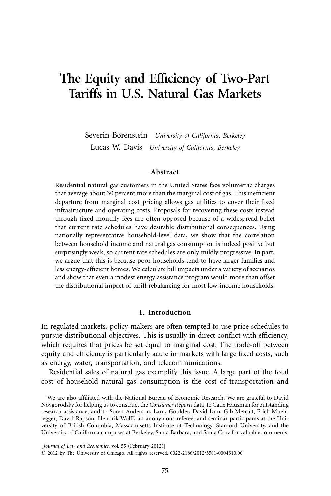# **The Equity and Efficiency of Two-Part Tariffs in U.S. Natural Gas Markets**

Severin Borenstein *University of California, Berkeley* Lucas W. Davis *University of California, Berkeley*

#### **Abstract**

Residential natural gas customers in the United States face volumetric charges that average about 30 percent more than the marginal cost of gas. This inefficient departure from marginal cost pricing allows gas utilities to cover their fixed infrastructure and operating costs. Proposals for recovering these costs instead through fixed monthly fees are often opposed because of a widespread belief that current rate schedules have desirable distributional consequences. Using nationally representative household-level data, we show that the correlation between household income and natural gas consumption is indeed positive but surprisingly weak, so current rate schedules are only mildly progressive. In part, we argue that this is because poor households tend to have larger families and less energy-efficient homes. We calculate bill impacts under a variety of scenarios and show that even a modest energy assistance program would more than offset the distributional impact of tariff rebalancing for most low-income households.

# **1. Introduction**

In regulated markets, policy makers are often tempted to use price schedules to pursue distributional objectives. This is usually in direct conflict with efficiency, which requires that prices be set equal to marginal cost. The trade-off between equity and efficiency is particularly acute in markets with large fixed costs, such as energy, water, transportation, and telecommunications.

Residential sales of natural gas exemplify this issue. A large part of the total cost of household natural gas consumption is the cost of transportation and

We are also affiliated with the National Bureau of Economic Research. We are grateful to David Novgorodsky for helping us to construct the *Consumer Reports* data, to Catie Hausman for outstanding research assistance, and to Soren Anderson, Larry Goulder, David Lam, Gib Metcalf, Erich Muehlegger, David Rapson, Hendrik Wolff, an anonymous referee, and seminar participants at the University of British Columbia, Massachusetts Institute of Technology, Stanford University, and the University of California campuses at Berkeley, Santa Barbara, and Santa Cruz for valuable comments.

[*Journal of Law and Economics,* vol. 55 (February 2012)] © 2012 by The University of Chicago. All rights reserved. 0022-2186/2012/5501-0004\$10.00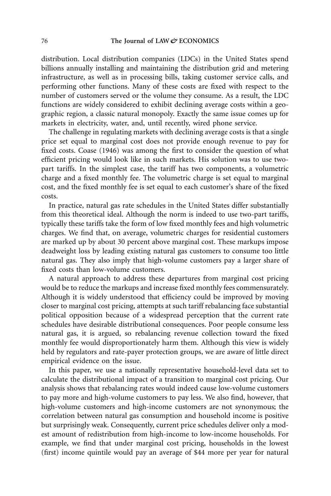distribution. Local distribution companies (LDCs) in the United States spend billions annually installing and maintaining the distribution grid and metering infrastructure, as well as in processing bills, taking customer service calls, and performing other functions. Many of these costs are fixed with respect to the number of customers served or the volume they consume. As a result, the LDC functions are widely considered to exhibit declining average costs within a geographic region, a classic natural monopoly. Exactly the same issue comes up for markets in electricity, water, and, until recently, wired phone service.

The challenge in regulating markets with declining average costs is that a single price set equal to marginal cost does not provide enough revenue to pay for fixed costs. Coase (1946) was among the first to consider the question of what efficient pricing would look like in such markets. His solution was to use twopart tariffs. In the simplest case, the tariff has two components, a volumetric charge and a fixed monthly fee. The volumetric charge is set equal to marginal cost, and the fixed monthly fee is set equal to each customer's share of the fixed costs.

In practice, natural gas rate schedules in the United States differ substantially from this theoretical ideal. Although the norm is indeed to use two-part tariffs, typically these tariffs take the form of low fixed monthly fees and high volumetric charges. We find that, on average, volumetric charges for residential customers are marked up by about 30 percent above marginal cost. These markups impose deadweight loss by leading existing natural gas customers to consume too little natural gas. They also imply that high-volume customers pay a larger share of fixed costs than low-volume customers.

A natural approach to address these departures from marginal cost pricing would be to reduce the markups and increase fixed monthly fees commensurately. Although it is widely understood that efficiency could be improved by moving closer to marginal cost pricing, attempts at such tariff rebalancing face substantial political opposition because of a widespread perception that the current rate schedules have desirable distributional consequences. Poor people consume less natural gas, it is argued, so rebalancing revenue collection toward the fixed monthly fee would disproportionately harm them. Although this view is widely held by regulators and rate-payer protection groups, we are aware of little direct empirical evidence on the issue.

In this paper, we use a nationally representative household-level data set to calculate the distributional impact of a transition to marginal cost pricing. Our analysis shows that rebalancing rates would indeed cause low-volume customers to pay more and high-volume customers to pay less. We also find, however, that high-volume customers and high-income customers are not synonymous; the correlation between natural gas consumption and household income is positive but surprisingly weak. Consequently, current price schedules deliver only a modest amount of redistribution from high-income to low-income households. For example, we find that under marginal cost pricing, households in the lowest (first) income quintile would pay an average of \$44 more per year for natural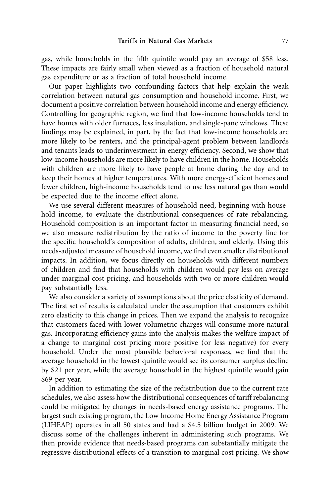gas, while households in the fifth quintile would pay an average of \$58 less. These impacts are fairly small when viewed as a fraction of household natural gas expenditure or as a fraction of total household income.

Our paper highlights two confounding factors that help explain the weak correlation between natural gas consumption and household income. First, we document a positive correlation between household income and energy efficiency. Controlling for geographic region, we find that low-income households tend to have homes with older furnaces, less insulation, and single-pane windows. These findings may be explained, in part, by the fact that low-income households are more likely to be renters, and the principal-agent problem between landlords and tenants leads to underinvestment in energy efficiency. Second, we show that low-income households are more likely to have children in the home. Households with children are more likely to have people at home during the day and to keep their homes at higher temperatures. With more energy-efficient homes and fewer children, high-income households tend to use less natural gas than would be expected due to the income effect alone.

We use several different measures of household need, beginning with household income, to evaluate the distributional consequences of rate rebalancing. Household composition is an important factor in measuring financial need, so we also measure redistribution by the ratio of income to the poverty line for the specific household's composition of adults, children, and elderly. Using this needs-adjusted measure of household income, we find even smaller distributional impacts. In addition, we focus directly on households with different numbers of children and find that households with children would pay less on average under marginal cost pricing, and households with two or more children would pay substantially less.

We also consider a variety of assumptions about the price elasticity of demand. The first set of results is calculated under the assumption that customers exhibit zero elasticity to this change in prices. Then we expand the analysis to recognize that customers faced with lower volumetric charges will consume more natural gas. Incorporating efficiency gains into the analysis makes the welfare impact of a change to marginal cost pricing more positive (or less negative) for every household. Under the most plausible behavioral responses, we find that the average household in the lowest quintile would see its consumer surplus decline by \$21 per year, while the average household in the highest quintile would gain \$69 per year.

In addition to estimating the size of the redistribution due to the current rate schedules, we also assess how the distributional consequences of tariff rebalancing could be mitigated by changes in needs-based energy assistance programs. The largest such existing program, the Low Income Home Energy Assistance Program (LIHEAP) operates in all 50 states and had a \$4.5 billion budget in 2009. We discuss some of the challenges inherent in administering such programs. We then provide evidence that needs-based programs can substantially mitigate the regressive distributional effects of a transition to marginal cost pricing. We show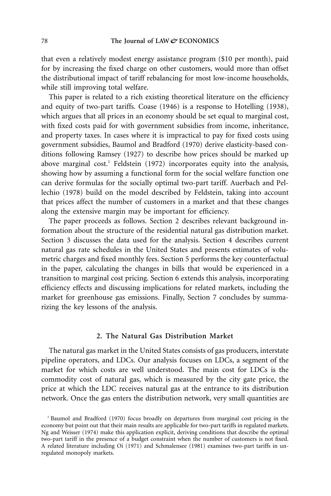that even a relatively modest energy assistance program (\$10 per month), paid for by increasing the fixed charge on other customers, would more than offset the distributional impact of tariff rebalancing for most low-income households, while still improving total welfare.

This paper is related to a rich existing theoretical literature on the efficiency and equity of two-part tariffs. Coase (1946) is a response to Hotelling (1938), which argues that all prices in an economy should be set equal to marginal cost, with fixed costs paid for with government subsidies from income, inheritance, and property taxes. In cases where it is impractical to pay for fixed costs using government subsidies, Baumol and Bradford (1970) derive elasticity-based conditions following Ramsey (1927) to describe how prices should be marked up above marginal  $cost<sup>1</sup>$  Feldstein (1972) incorporates equity into the analysis, showing how by assuming a functional form for the social welfare function one can derive formulas for the socially optimal two-part tariff. Auerbach and Pellechio (1978) build on the model described by Feldstein, taking into account that prices affect the number of customers in a market and that these changes along the extensive margin may be important for efficiency.

The paper proceeds as follows. Section 2 describes relevant background information about the structure of the residential natural gas distribution market. Section 3 discusses the data used for the analysis. Section 4 describes current natural gas rate schedules in the United States and presents estimates of volumetric charges and fixed monthly fees. Section 5 performs the key counterfactual in the paper, calculating the changes in bills that would be experienced in a transition to marginal cost pricing. Section 6 extends this analysis, incorporating efficiency effects and discussing implications for related markets, including the market for greenhouse gas emissions. Finally, Section 7 concludes by summarizing the key lessons of the analysis.

# **2. The Natural Gas Distribution Market**

The natural gas market in the United States consists of gas producers, interstate pipeline operators, and LDCs. Our analysis focuses on LDCs, a segment of the market for which costs are well understood. The main cost for LDCs is the commodity cost of natural gas, which is measured by the city gate price, the price at which the LDC receives natural gas at the entrance to its distribution network. Once the gas enters the distribution network, very small quantities are

<sup>1</sup> Baumol and Bradford (1970) focus broadly on departures from marginal cost pricing in the economy but point out that their main results are applicable for two-part tariffs in regulated markets. Ng and Weisser (1974) make this application explicit, deriving conditions that describe the optimal two-part tariff in the presence of a budget constraint when the number of customers is not fixed. A related literature including Oi (1971) and Schmalensee (1981) examines two-part tariffs in unregulated monopoly markets.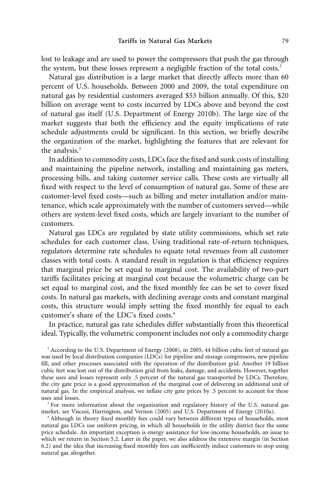lost to leakage and are used to power the compressors that push the gas through the system, but these losses represent a negligible fraction of the total costs.<sup>2</sup>

Natural gas distribution is a large market that directly affects more than 60 percent of U.S. households. Between 2000 and 2009, the total expenditure on natural gas by residential customers averaged \$53 billion annually. Of this, \$20 billion on average went to costs incurred by LDCs above and beyond the cost of natural gas itself (U.S. Department of Energy 2010b). The large size of the market suggests that both the efficiency and the equity implications of rate schedule adjustments could be significant. In this section, we briefly describe the organization of the market, highlighting the features that are relevant for the analysis.<sup>3</sup>

In addition to commodity costs, LDCs face the fixed and sunk costs of installing and maintaining the pipeline network, installing and maintaining gas meters, processing bills, and taking customer service calls. These costs are virtually all fixed with respect to the level of consumption of natural gas. Some of these are customer-level fixed costs—such as billing and meter installation and/or maintenance, which scale approximately with the number of customers served—while others are system-level fixed costs, which are largely invariant to the number of customers.

Natural gas LDCs are regulated by state utility commissions, which set rate schedules for each customer class. Using traditional rate-of-return techniques, regulators determine rate schedules to equate total revenues from all customer classes with total costs. A standard result in regulation is that efficiency requires that marginal price be set equal to marginal cost. The availability of two-part tariffs facilitates pricing at marginal cost because the volumetric charge can be set equal to marginal cost, and the fixed monthly fee can be set to cover fixed costs. In natural gas markets, with declining average costs and constant marginal costs, this structure would imply setting the fixed monthly fee equal to each customer's share of the LDC's fixed costs.4

In practice, natural gas rate schedules differ substantially from this theoretical ideal. Typically, the volumetric component includes not only a commodity charge

<sup>2</sup> According to the U.S. Department of Energy (2008), in 2005, 44 billion cubic feet of natural gas was used by local distribution companies (LDCs) for pipeline and storage compressors, new pipeline fill, and other processes associated with the operation of the distribution grid. Another 19 billion cubic feet was lost out of the distribution grid from leaks, damage, and accidents. However, together these uses and losses represent only .5 percent of the natural gas transported by LDCs. Therefore, the city gate price is a good approximation of the marginal cost of delivering an additional unit of natural gas. In the empirical analysis, we inflate city gate prices by .5 percent to account for these uses and losses.

<sup>3</sup> For more information about the organization and regulatory history of the U.S. natural gas market, see Viscusi, Harrington, and Vernon (2005) and U.S. Department of Energy (2010a).

<sup>4</sup> Although in theory fixed monthly fees could vary between different types of households, most natural gas LDCs use uniform pricing, in which all households in the utility district face the same price schedule. An important exception is energy assistance for low-income households, an issue to which we return in Section 5.2. Later in the paper, we also address the extensive margin (in Section 6.2) and the idea that increasing fixed monthly fees can inefficiently induce customers to stop using natural gas altogether.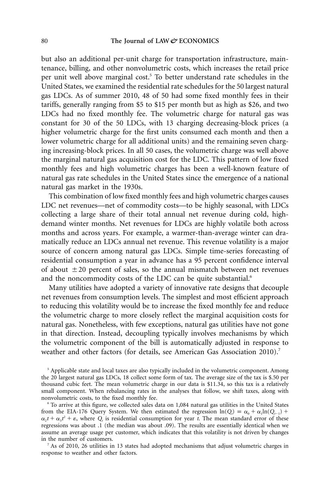but also an additional per-unit charge for transportation infrastructure, maintenance, billing, and other nonvolumetric costs, which increases the retail price per unit well above marginal cost.<sup>5</sup> To better understand rate schedules in the United States, we examined the residential rate schedules for the 50 largest natural gas LDCs. As of summer 2010, 48 of 50 had some fixed monthly fees in their tariffs, generally ranging from \$5 to \$15 per month but as high as \$26, and two LDCs had no fixed monthly fee. The volumetric charge for natural gas was constant for 30 of the 50 LDCs, with 13 charging decreasing-block prices (a higher volumetric charge for the first units consumed each month and then a lower volumetric charge for all additional units) and the remaining seven charging increasing-block prices. In all 50 cases, the volumetric charge was well above the marginal natural gas acquisition cost for the LDC. This pattern of low fixed monthly fees and high volumetric charges has been a well-known feature of natural gas rate schedules in the United States since the emergence of a national natural gas market in the 1930s.

This combination of low fixed monthly fees and high volumetric charges causes LDC net revenues—net of commodity costs—to be highly seasonal, with LDCs collecting a large share of their total annual net revenue during cold, highdemand winter months. Net revenues for LDCs are highly volatile both across months and across years. For example, a warmer-than-average winter can dramatically reduce an LDCs annual net revenue. This revenue volatility is a major source of concern among natural gas LDCs. Simple time-series forecasting of residential consumption a year in advance has a 95 percent confidence interval of about  $\pm 20$  percent of sales, so the annual mismatch between net revenues and the noncommodity costs of the LDC can be quite substantial.<sup>6</sup>

Many utilities have adopted a variety of innovative rate designs that decouple net revenues from consumption levels. The simplest and most efficient approach to reducing this volatility would be to increase the fixed monthly fee and reduce the volumetric charge to more closely reflect the marginal acquisition costs for natural gas. Nonetheless, with few exceptions, natural gas utilities have not gone in that direction. Instead, decoupling typically involves mechanisms by which the volumetric component of the bill is automatically adjusted in response to weather and other factors (for details, see American Gas Association 2010).<sup>7</sup>

<sup>5</sup> Applicable state and local taxes are also typically included in the volumetric component. Among the 20 largest natural gas LDCs, 18 collect some form of tax. The average size of the tax is \$.50 per thousand cubic feet. The mean volumetric charge in our data is \$11.34, so this tax is a relatively small component. When rebalancing rates in the analyses that follow, we shift taxes, along with nonvolumetric costs, to the fixed monthly fee.

<sup>6</sup> To arrive at this figure, we collected sales data on 1,084 natural gas utilities in the United States from the EIA-176 Query System. We then estimated the regression  $ln(Q_t) = \alpha_0 + \alpha_1 ln(Q_{t-1})$  +  $\alpha_2 t + \alpha_3 t^2 + \varepsilon$ , where  $Q_t$  is residential consumption for year *t*. The mean standard error of these regressions was about .1 (the median was about .09). The results are essentially identical when we assume an average usage per customer, which indicates that this volatility is not driven by changes in the number of customers.

 $^7$  As of 2010, 26 utilities in 13 states had adopted mechanisms that adjust volumetric charges in response to weather and other factors.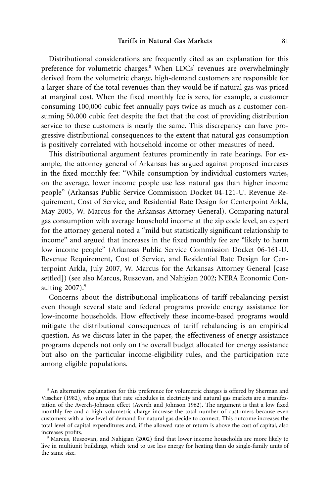Distributional considerations are frequently cited as an explanation for this preference for volumetric charges.<sup>8</sup> When LDCs' revenues are overwhelmingly derived from the volumetric charge, high-demand customers are responsible for a larger share of the total revenues than they would be if natural gas was priced at marginal cost. When the fixed monthly fee is zero, for example, a customer consuming 100,000 cubic feet annually pays twice as much as a customer consuming 50,000 cubic feet despite the fact that the cost of providing distribution service to these customers is nearly the same. This discrepancy can have progressive distributional consequences to the extent that natural gas consumption is positively correlated with household income or other measures of need.

This distributional argument features prominently in rate hearings. For example, the attorney general of Arkansas has argued against proposed increases in the fixed monthly fee: "While consumption by individual customers varies, on the average, lower income people use less natural gas than higher income people" (Arkansas Public Service Commission Docket 04-121-U. Revenue Requirement, Cost of Service, and Residential Rate Design for Centerpoint Arkla, May 2005, W. Marcus for the Arkansas Attorney General). Comparing natural gas consumption with average household income at the zip code level, an expert for the attorney general noted a "mild but statistically significant relationship to income" and argued that increases in the fixed monthly fee are "likely to harm low income people" (Arkansas Public Service Commission Docket 06-161-U. Revenue Requirement, Cost of Service, and Residential Rate Design for Centerpoint Arkla, July 2007, W. Marcus for the Arkansas Attorney General [case settled]) (see also Marcus, Ruszovan, and Nahigian 2002; NERA Economic Consulting  $2007$ ).<sup>9</sup>

Concerns about the distributional implications of tariff rebalancing persist even though several state and federal programs provide energy assistance for low-income households. How effectively these income-based programs would mitigate the distributional consequences of tariff rebalancing is an empirical question. As we discuss later in the paper, the effectiveness of energy assistance programs depends not only on the overall budget allocated for energy assistance but also on the particular income-eligibility rules, and the participation rate among eligible populations.

<sup>&</sup>lt;sup>8</sup> An alternative explanation for this preference for volumetric charges is offered by Sherman and Visscher (1982), who argue that rate schedules in electricity and natural gas markets are a manifestation of the Averch-Johnson effect (Averch and Johnson 1962). The argument is that a low fixed monthly fee and a high volumetric charge increase the total number of customers because even customers with a low level of demand for natural gas decide to connect. This outcome increases the total level of capital expenditures and, if the allowed rate of return is above the cost of capital, also increases profits.

<sup>9</sup> Marcus, Ruszovan, and Nahigian (2002) find that lower income households are more likely to live in multiunit buildings, which tend to use less energy for heating than do single-family units of the same size.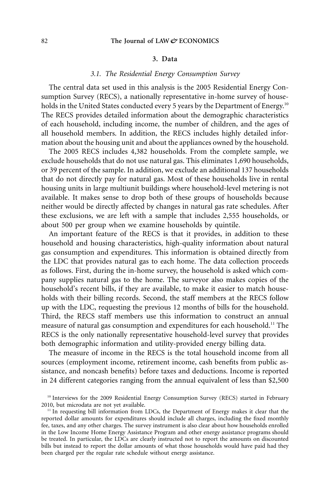# **3. Data**

## *3.1. The Residential Energy Consumption Survey*

The central data set used in this analysis is the 2005 Residential Energy Consumption Survey (RECS), a nationally representative in-home survey of households in the United States conducted every 5 years by the Department of Energy.<sup>10</sup> The RECS provides detailed information about the demographic characteristics of each household, including income, the number of children, and the ages of all household members. In addition, the RECS includes highly detailed information about the housing unit and about the appliances owned by the household.

The 2005 RECS includes 4,382 households. From the complete sample, we exclude households that do not use natural gas. This eliminates 1,690 households, or 39 percent of the sample. In addition, we exclude an additional 137 households that do not directly pay for natural gas. Most of these households live in rental housing units in large multiunit buildings where household-level metering is not available. It makes sense to drop both of these groups of households because neither would be directly affected by changes in natural gas rate schedules. After these exclusions, we are left with a sample that includes 2,555 households, or about 500 per group when we examine households by quintile.

An important feature of the RECS is that it provides, in addition to these household and housing characteristics, high-quality information about natural gas consumption and expenditures. This information is obtained directly from the LDC that provides natural gas to each home. The data collection proceeds as follows. First, during the in-home survey, the household is asked which company supplies natural gas to the home. The surveyor also makes copies of the household's recent bills, if they are available, to make it easier to match households with their billing records. Second, the staff members at the RECS follow up with the LDC, requesting the previous 12 months of bills for the household. Third, the RECS staff members use this information to construct an annual measure of natural gas consumption and expenditures for each household.<sup>11</sup> The RECS is the only nationally representative household-level survey that provides both demographic information and utility-provided energy billing data.

The measure of income in the RECS is the total household income from all sources (employment income, retirement income, cash benefits from public assistance, and noncash benefits) before taxes and deductions. Income is reported in 24 different categories ranging from the annual equivalent of less than \$2,500

<sup>&</sup>lt;sup>10</sup> Interviews for the 2009 Residential Energy Consumption Survey (RECS) started in February 2010, but microdata are not yet available.

<sup>&</sup>lt;sup>11</sup> In requesting bill information from LDCs, the Department of Energy makes it clear that the reported dollar amounts for expenditures should include all charges, including the fixed monthly fee, taxes, and any other charges. The survey instrument is also clear about how households enrolled in the Low Income Home Energy Assistance Program and other energy assistance programs should be treated. In particular, the LDCs are clearly instructed not to report the amounts on discounted bills but instead to report the dollar amounts of what those households would have paid had they been charged per the regular rate schedule without energy assistance.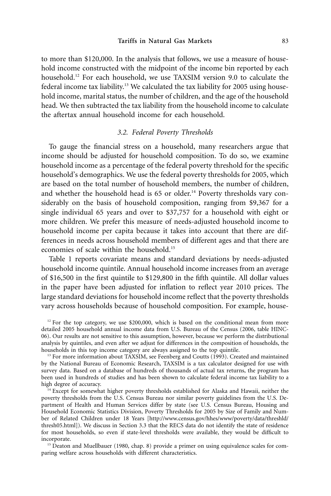to more than \$120,000. In the analysis that follows, we use a measure of household income constructed with the midpoint of the income bin reported by each household.<sup>12</sup> For each household, we use TAXSIM version 9.0 to calculate the federal income tax liability.<sup>13</sup> We calculated the tax liability for 2005 using household income, marital status, the number of children, and the age of the household head. We then subtracted the tax liability from the household income to calculate the aftertax annual household income for each household.

# *3.2. Federal Poverty Thresholds*

To gauge the financial stress on a household, many researchers argue that income should be adjusted for household composition. To do so, we examine household income as a percentage of the federal poverty threshold for the specific household's demographics. We use the federal poverty thresholds for 2005, which are based on the total number of household members, the number of children, and whether the household head is  $65$  or older.<sup>14</sup> Poverty thresholds vary considerably on the basis of household composition, ranging from \$9,367 for a single individual 65 years and over to \$37,757 for a household with eight or more children. We prefer this measure of needs-adjusted household income to household income per capita because it takes into account that there are differences in needs across household members of different ages and that there are economies of scale within the household.15

Table 1 reports covariate means and standard deviations by needs-adjusted household income quintile. Annual household income increases from an average of \$16,500 in the first quintile to \$129,800 in the fifth quintile. All dollar values in the paper have been adjusted for inflation to reflect year 2010 prices. The large standard deviations for household income reflect that the poverty thresholds vary across households because of household composition. For example, house-

 $12$  For the top category, we use \$200,000, which is based on the conditional mean from more detailed 2005 household annual income data from U.S. Bureau of the Census (2006, table HINC-06). Our results are not sensitive to this assumption, however, because we perform the distributional analysis by quintiles, and even after we adjust for differences in the composition of households, the households in this top income category are always assigned to the top quintile.

<sup>13</sup> For more information about TAXSIM, see Feenberg and Coutts (1993). Created and maintained by the National Bureau of Economic Research, TAXSIM is a tax calculator designed for use with survey data. Based on a database of hundreds of thousands of actual tax returns, the program has been used in hundreds of studies and has been shown to calculate federal income tax liability to a high degree of accuracy.

<sup>14</sup> Except for somewhat higher poverty thresholds established for Alaska and Hawaii, neither the poverty thresholds from the U.S. Census Bureau nor similar poverty guidelines from the U.S. Department of Health and Human Services differ by state (see U.S. Census Bureau, Housing and Household Economic Statistics Division, Poverty Thresholds for 2005 by Size of Family and Number of Related Children under 18 Years [\[http://www.census.gov/hhes/www/poverty/data/threshld/](http://www.census.gov/hhes/www/poverty/data/threshld/thresh05.html) [thresh05.html\]](http://www.census.gov/hhes/www/poverty/data/threshld/thresh05.html)). We discuss in Section 3.3 that the RECS data do not identify the state of residence for most households, so even if state-level thresholds were available, they would be difficult to incorporate.

<sup>15</sup> Deaton and Muellbauer (1980, chap. 8) provide a primer on using equivalence scales for comparing welfare across households with different characteristics.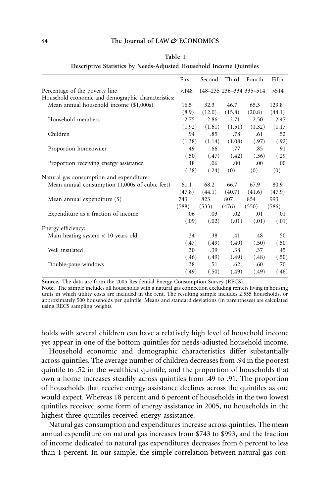|  | anı |  |
|--|-----|--|
|--|-----|--|

|  |  |  |  |  |  | Descriptive Statistics by Needs-Adjusted Household Income Quintiles |  |  |
|--|--|--|--|--|--|---------------------------------------------------------------------|--|--|
|--|--|--|--|--|--|---------------------------------------------------------------------|--|--|

|                                                     | First  | Second | Third  | Fourth                  | Fifth  |
|-----------------------------------------------------|--------|--------|--------|-------------------------|--------|
| Percentage of the poverty line                      | < 148  |        |        | 148-235 236-334 335-514 | >514   |
| Household economic and demographic characteristics: |        |        |        |                         |        |
| Mean annual household income (\$1,000s)             | 16.5   | 32.3   | 46.7   | 65.3                    | 129.8  |
|                                                     | (8.9)  | (12.0) | (15.8) | (20.8)                  | (44.1) |
| Household members                                   | 2.75   | 2.86   | 2.71   | 2.50                    | 2.47   |
|                                                     | (1.92) | (1.61) | (1.51) | (1.32)                  | (1.17) |
| Children                                            | .94    | .85    | .78    | .61                     | .52    |
|                                                     | (1.38) | (1.14) | (1.08) | (.97)                   | (.92)  |
| Proportion homeowner                                | .49    | .66    | .77    | .85                     | .91    |
|                                                     | (.50)  | (.47)  | (.42)  | (.36)                   | (.29)  |
| Proportion receiving energy assistance              | .18    | .06    | .00    | .00                     | .00    |
|                                                     | (.38)  | (.24)  | (0)    | (0)                     | (0)    |
| Natural gas consumption and expenditure:            |        |        |        |                         |        |
| Mean annual consumption (1,000s of cubic feet)      | 61.1   | 68.2   | 66.7   | 67.9                    | 80.9   |
|                                                     | (47.8) | (44.1) | (40.7) | (41.6)                  | (47.9) |
| Mean annual expenditure (\$)                        | 743    | 823    | 807    | 854                     | 993    |
|                                                     | (588)  | (533)  | (476)  | (550)                   | (586)  |
| Expenditure as a fraction of income                 | .06    | .03    | .02    | .01                     | .01    |
|                                                     | (.09)  | (.02)  | (.01)  | (.01)                   | (.01)  |
| Energy efficiency:                                  |        |        |        |                         |        |
| Main heating system $< 10$ years old                | .34    | .38    | .41    | .48                     | .50    |
|                                                     | (.47)  | (.49)  | (.49)  | (.50)                   | (.50)  |
| Well insulated                                      | .30    | .39    | .38    | .37                     | .45    |
|                                                     | (.46)  | (.49)  | (.49)  | (.48)                   | (.50)  |
| Double-pane windows                                 | .38    | .51    | .62    | .60                     | .70    |
|                                                     | (.49)  | (.50)  | (.49)  | (.49)                   | (.46)  |

**Source.** The data are from the 2005 Residential Energy Consumption Survey (RECS).

**Note.** The sample includes all households with a natural gas connection excluding renters living in housing units in which utility costs are included in the rent. The resulting sample includes 2,555 households, or approximately 500 households per quintile. Means and standard deviations (in parentheses) are calculated using RECS sampling weights.

holds with several children can have a relatively high level of household income yet appear in one of the bottom quintiles for needs-adjusted household income.

Household economic and demographic characteristics differ substantially across quintiles. The average number of children decreases from .94 in the poorest quintile to .52 in the wealthiest quintile, and the proportion of households that own a home increases steadily across quintiles from .49 to .91. The proportion of households that receive energy assistance declines across the quintiles as one would expect. Whereas 18 percent and 6 percent of households in the two lowest quintiles received some form of energy assistance in 2005, no households in the highest three quintiles received energy assistance.

Natural gas consumption and expenditures increase across quintiles. The mean annual expenditure on natural gas increases from \$743 to \$993, and the fraction of income dedicated to natural gas expenditures decreases from 6 percent to less than 1 percent. In our sample, the simple correlation between natural gas con-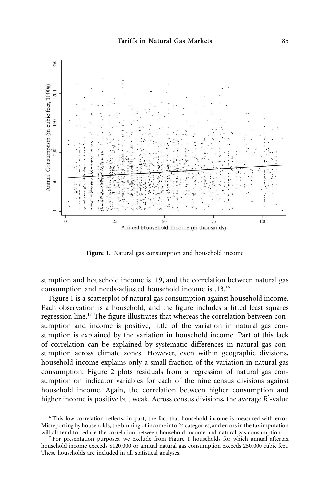

**Figure 1.** Natural gas consumption and household income

sumption and household income is .19, and the correlation between natural gas consumption and needs-adjusted household income is .13.16

Figure 1 is a scatterplot of natural gas consumption against household income. Each observation is a household, and the figure includes a fitted least squares regression line.<sup>17</sup> The figure illustrates that whereas the correlation between consumption and income is positive, little of the variation in natural gas consumption is explained by the variation in household income. Part of this lack of correlation can be explained by systematic differences in natural gas consumption across climate zones. However, even within geographic divisions, household income explains only a small fraction of the variation in natural gas consumption. Figure 2 plots residuals from a regression of natural gas consumption on indicator variables for each of the nine census divisions against household income. Again, the correlation between higher consumption and higher income is positive but weak. Across census divisions, the average R<sup>2</sup>-value

<sup>&</sup>lt;sup>16</sup> This low correlation reflects, in part, the fact that household income is measured with error. Misreporting by households, the binning of income into 24 categories, and errors in the tax imputation will all tend to reduce the correlation between household income and natural gas consumption.

 $17$  For presentation purposes, we exclude from Figure 1 households for which annual aftertax household income exceeds \$120,000 or annual natural gas consumption exceeds 250,000 cubic feet. These households are included in all statistical analyses.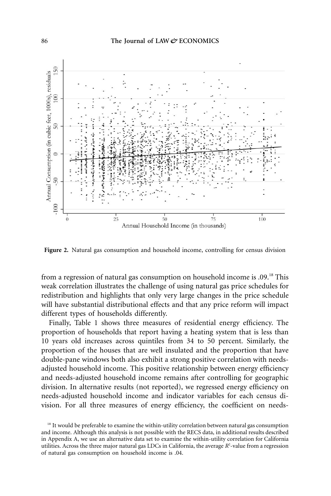

**Figure 2.** Natural gas consumption and household income, controlling for census division

from a regression of natural gas consumption on household income is .09.<sup>18</sup> This weak correlation illustrates the challenge of using natural gas price schedules for redistribution and highlights that only very large changes in the price schedule will have substantial distributional effects and that any price reform will impact different types of households differently.

Finally, Table 1 shows three measures of residential energy efficiency. The proportion of households that report having a heating system that is less than 10 years old increases across quintiles from 34 to 50 percent. Similarly, the proportion of the houses that are well insulated and the proportion that have double-pane windows both also exhibit a strong positive correlation with needsadjusted household income. This positive relationship between energy efficiency and needs-adjusted household income remains after controlling for geographic division. In alternative results (not reported), we regressed energy efficiency on needs-adjusted household income and indicator variables for each census division. For all three measures of energy efficiency, the coefficient on needs-

 $18$  It would be preferable to examine the within-utility correlation between natural gas consumption and income. Although this analysis is not possible with the RECS data, in additional results described in Appendix A, we use an alternative data set to examine the within-utility correlation for California utilities. Across the three major natural gas LDCs in California, the average  $R^2$ -value from a regression of natural gas consumption on household income is .04.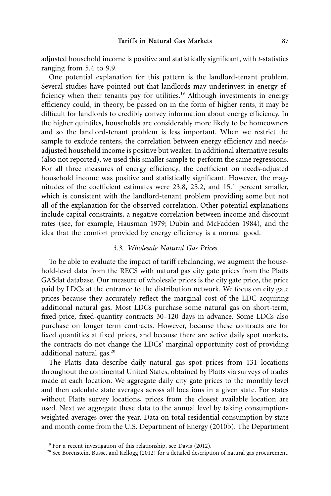adjusted household income is positive and statistically significant, with *t*-statistics ranging from 5.4 to 9.9.

One potential explanation for this pattern is the landlord-tenant problem. Several studies have pointed out that landlords may underinvest in energy efficiency when their tenants pay for utilities.<sup>19</sup> Although investments in energy efficiency could, in theory, be passed on in the form of higher rents, it may be difficult for landlords to credibly convey information about energy efficiency. In the higher quintiles, households are considerably more likely to be homeowners and so the landlord-tenant problem is less important. When we restrict the sample to exclude renters, the correlation between energy efficiency and needsadjusted household income is positive but weaker. In additional alternative results (also not reported), we used this smaller sample to perform the same regressions. For all three measures of energy efficiency, the coefficient on needs-adjusted household income was positive and statistically significant. However, the magnitudes of the coefficient estimates were 23.8, 25.2, and 15.1 percent smaller, which is consistent with the landlord-tenant problem providing some but not all of the explanation for the observed correlation. Other potential explanations include capital constraints, a negative correlation between income and discount rates (see, for example, Hausman 1979; Dubin and McFadden 1984), and the idea that the comfort provided by energy efficiency is a normal good.

#### *3.3. Wholesale Natural Gas Prices*

To be able to evaluate the impact of tariff rebalancing, we augment the household-level data from the RECS with natural gas city gate prices from the Platts GASdat database. Our measure of wholesale prices is the city gate price, the price paid by LDCs at the entrance to the distribution network. We focus on city gate prices because they accurately reflect the marginal cost of the LDC acquiring additional natural gas. Most LDCs purchase some natural gas on short-term, fixed-price, fixed-quantity contracts 30–120 days in advance. Some LDCs also purchase on longer term contracts. However, because these contracts are for fixed quantities at fixed prices, and because there are active daily spot markets, the contracts do not change the LDCs' marginal opportunity cost of providing additional natural gas.<sup>20</sup>

The Platts data describe daily natural gas spot prices from 131 locations throughout the continental United States, obtained by Platts via surveys of trades made at each location. We aggregate daily city gate prices to the monthly level and then calculate state averages across all locations in a given state. For states without Platts survey locations, prices from the closest available location are used. Next we aggregate these data to the annual level by taking consumptionweighted averages over the year. Data on total residential consumption by state and month come from the U.S. Department of Energy (2010b). The Department

 $19$  For a recent investigation of this relationship, see Davis (2012).

<sup>&</sup>lt;sup>20</sup> See Borenstein, Busse, and Kellogg (2012) for a detailed description of natural gas procurement.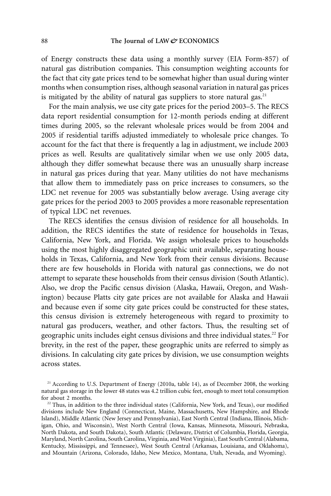of Energy constructs these data using a monthly survey (EIA Form-857) of natural gas distribution companies. This consumption weighting accounts for the fact that city gate prices tend to be somewhat higher than usual during winter months when consumption rises, although seasonal variation in natural gas prices is mitigated by the ability of natural gas suppliers to store natural gas.<sup>21</sup>

For the main analysis, we use city gate prices for the period 2003–5. The RECS data report residential consumption for 12-month periods ending at different times during 2005, so the relevant wholesale prices would be from 2004 and 2005 if residential tariffs adjusted immediately to wholesale price changes. To account for the fact that there is frequently a lag in adjustment, we include 2003 prices as well. Results are qualitatively similar when we use only 2005 data, although they differ somewhat because there was an unusually sharp increase in natural gas prices during that year. Many utilities do not have mechanisms that allow them to immediately pass on price increases to consumers, so the LDC net revenue for 2005 was substantially below average. Using average city gate prices for the period 2003 to 2005 provides a more reasonable representation of typical LDC net revenues.

The RECS identifies the census division of residence for all households. In addition, the RECS identifies the state of residence for households in Texas, California, New York, and Florida. We assign wholesale prices to households using the most highly disaggregated geographic unit available, separating households in Texas, California, and New York from their census divisions. Because there are few households in Florida with natural gas connections, we do not attempt to separate these households from their census division (South Atlantic). Also, we drop the Pacific census division (Alaska, Hawaii, Oregon, and Washington) because Platts city gate prices are not available for Alaska and Hawaii and because even if some city gate prices could be constructed for these states, this census division is extremely heterogeneous with regard to proximity to natural gas producers, weather, and other factors. Thus, the resulting set of geographic units includes eight census divisions and three individual states.<sup>22</sup> For brevity, in the rest of the paper, these geographic units are referred to simply as divisions. In calculating city gate prices by division, we use consumption weights across states.

<sup>&</sup>lt;sup>21</sup> According to U.S. Department of Energy (2010a, table 14), as of December 2008, the working natural gas storage in the lower 48 states was 4.2 trillion cubic feet, enough to meet total consumption for about 2 months.

 $22$  Thus, in addition to the three individual states (California, New York, and Texas), our modified divisions include New England (Connecticut, Maine, Massachusetts, New Hampshire, and Rhode Island), Middle Atlantic (New Jersey and Pennsylvania), East North Central (Indiana, Illinois, Michigan, Ohio, and Wisconsin), West North Central (Iowa, Kansas, Minnesota, Missouri, Nebraska, North Dakota, and South Dakota), South Atlantic (Delaware, District of Columbia, Florida, Georgia, Maryland, North Carolina, South Carolina, Virginia, and West Virginia), East South Central (Alabama, Kentucky, Mississippi, and Tennessee), West South Central (Arkansas, Louisiana, and Oklahoma), and Mountain (Arizona, Colorado, Idaho, New Mexico, Montana, Utah, Nevada, and Wyoming).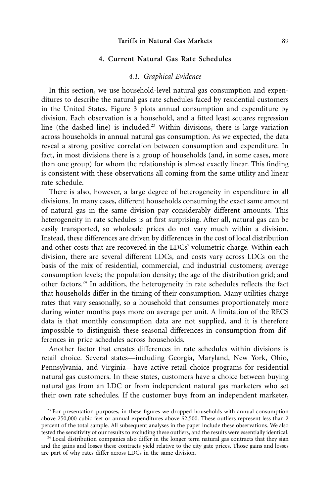# **4. Current Natural Gas Rate Schedules**

# *4.1. Graphical Evidence*

In this section, we use household-level natural gas consumption and expenditures to describe the natural gas rate schedules faced by residential customers in the United States. Figure 3 plots annual consumption and expenditure by division. Each observation is a household, and a fitted least squares regression line (the dashed line) is included.<sup>23</sup> Within divisions, there is large variation across households in annual natural gas consumption. As we expected, the data reveal a strong positive correlation between consumption and expenditure. In fact, in most divisions there is a group of households (and, in some cases, more than one group) for whom the relationship is almost exactly linear. This finding is consistent with these observations all coming from the same utility and linear rate schedule.

There is also, however, a large degree of heterogeneity in expenditure in all divisions. In many cases, different households consuming the exact same amount of natural gas in the same division pay considerably different amounts. This heterogeneity in rate schedules is at first surprising. After all, natural gas can be easily transported, so wholesale prices do not vary much within a division. Instead, these differences are driven by differences in the cost of local distribution and other costs that are recovered in the LDCs' volumetric charge. Within each division, there are several different LDCs, and costs vary across LDCs on the basis of the mix of residential, commercial, and industrial customers; average consumption levels; the population density; the age of the distribution grid; and other factors.24 In addition, the heterogeneity in rate schedules reflects the fact that households differ in the timing of their consumption. Many utilities charge rates that vary seasonally, so a household that consumes proportionately more during winter months pays more on average per unit. A limitation of the RECS data is that monthly consumption data are not supplied, and it is therefore impossible to distinguish these seasonal differences in consumption from differences in price schedules across households.

Another factor that creates differences in rate schedules within divisions is retail choice. Several states—including Georgia, Maryland, New York, Ohio, Pennsylvania, and Virginia—have active retail choice programs for residential natural gas customers. In these states, customers have a choice between buying natural gas from an LDC or from independent natural gas marketers who set their own rate schedules. If the customer buys from an independent marketer,

<sup>&</sup>lt;sup>23</sup> For presentation purposes, in these figures we dropped households with annual consumption above 250,000 cubic feet or annual expenditures above \$2,500. These outliers represent less than 2 percent of the total sample. All subsequent analyses in the paper include these observations. We also tested the sensitivity of our results to excluding these outliers, and the results were essentially identical.

<sup>&</sup>lt;sup>24</sup> Local distribution companies also differ in the longer term natural gas contracts that they sign and the gains and losses these contracts yield relative to the city gate prices. Those gains and losses are part of why rates differ across LDCs in the same division.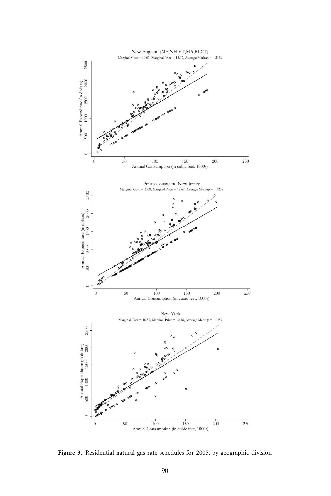

**Figure 3.** Residential natural gas rate schedules for 2005, by geographic division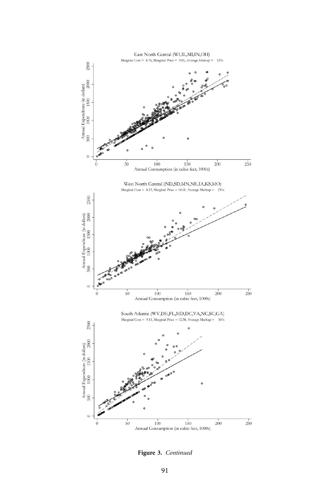

**Figure 3.** *Continued*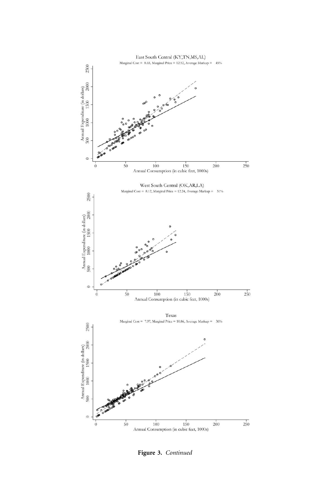

**Figure 3.** *Continued*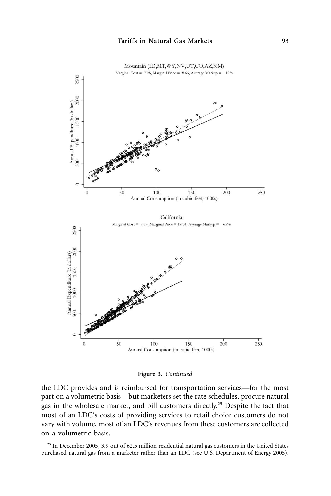



the LDC provides and is reimbursed for transportation services—for the most part on a volumetric basis—but marketers set the rate schedules, procure natural gas in the wholesale market, and bill customers directly.25 Despite the fact that most of an LDC's costs of providing services to retail choice customers do not vary with volume, most of an LDC's revenues from these customers are collected on a volumetric basis.

<sup>25</sup> In December 2005, 3.9 out of 62.5 million residential natural gas customers in the United States purchased natural gas from a marketer rather than an LDC (see U.S. Department of Energy 2005).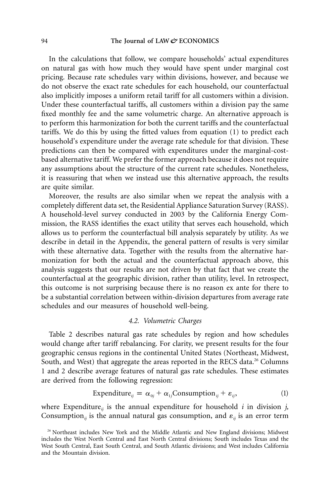In the calculations that follow, we compare households' actual expenditures on natural gas with how much they would have spent under marginal cost pricing. Because rate schedules vary within divisions, however, and because we do not observe the exact rate schedules for each household, our counterfactual also implicitly imposes a uniform retail tariff for all customers within a division. Under these counterfactual tariffs, all customers within a division pay the same fixed monthly fee and the same volumetric charge. An alternative approach is to perform this harmonization for both the current tariffs and the counterfactual tariffs. We do this by using the fitted values from equation (1) to predict each household's expenditure under the average rate schedule for that division. These predictions can then be compared with expenditures under the marginal-costbased alternative tariff. We prefer the former approach because it does not require any assumptions about the structure of the current rate schedules. Nonetheless, it is reassuring that when we instead use this alternative approach, the results are quite similar.

Moreover, the results are also similar when we repeat the analysis with a completely different data set, the Residential Appliance Saturation Survey (RASS). A household-level survey conducted in 2003 by the California Energy Commission, the RASS identifies the exact utility that serves each household, which allows us to perform the counterfactual bill analysis separately by utility. As we describe in detail in the Appendix, the general pattern of results is very similar with these alternative data. Together with the results from the alternative harmonization for both the actual and the counterfactual approach above, this analysis suggests that our results are not driven by that fact that we create the counterfactual at the geographic division, rather than utility, level. In retrospect, this outcome is not surprising because there is no reason ex ante for there to be a substantial correlation between within-division departures from average rate schedules and our measures of household well-being.

# *4.2. Volumetric Charges*

Table 2 describes natural gas rate schedules by region and how schedules would change after tariff rebalancing. For clarity, we present results for the four geographic census regions in the continental United States (Northeast, Midwest, South, and West) that aggregate the areas reported in the RECS data.<sup>26</sup> Columns 1 and 2 describe average features of natural gas rate schedules. These estimates are derived from the following regression:

$$
Expenditure_{ij} = \alpha_{0j} + \alpha_{1j}Consumption_{ij} + \varepsilon_{ij},
$$
 (1)

where Expenditure<sub>*ii*</sub> is the annual expenditure for household *i* in division *j*, Consumption<sub>*ij*</sub> is the annual natural gas consumption, and  $\varepsilon_{ij}$  is an error term

<sup>&</sup>lt;sup>26</sup> Northeast includes New York and the Middle Atlantic and New England divisions; Midwest includes the West North Central and East North Central divisions; South includes Texas and the West South Central, East South Central, and South Atlantic divisions; and West includes California and the Mountain division.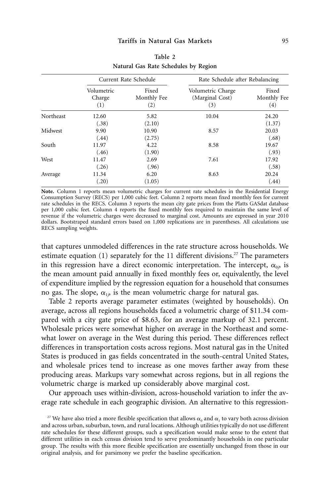|           |                             | Current Rate Schedule       | Rate Schedule after Rebalancing             |                             |
|-----------|-----------------------------|-----------------------------|---------------------------------------------|-----------------------------|
|           | Volumetric<br>Charge<br>(1) | Fixed<br>Monthly Fee<br>(2) | Volumetric Charge<br>(Marginal Cost)<br>(3) | Fixed<br>Monthly Fee<br>(4) |
| Northeast | 12.60<br>(.38)              | 5.82<br>(2.10)              | 10.04                                       | 24.20<br>(1.37)             |
| Midwest   | 9.90<br>(.44)               | 10.90<br>(2.75)             | 8.57                                        | 20.03<br>(.68)              |
| South     | 11.97<br>(.46)              | 4.22<br>(1.90)              | 8.58                                        | 19.67<br>(.93)              |
| West      | 11.47<br>(.26)              | 2.69<br>(.96)               | 7.61                                        | 17.92<br>(.58)              |
| Average   | 11.34<br>(.20)              | 6.20<br>(1.05)              | 8.63                                        | 20.24<br>(.44)              |

**Table 2 Natural Gas Rate Schedules by Region**

**Note.** Column 1 reports mean volumetric charges for current rate schedules in the Residential Energy Consumption Survey (RECS) per 1,000 cubic feet. Column 2 reports mean fixed monthly fees for current rate schedules in the RECS. Column 3 reports the mean city gate prices from the Platts GASdat database per 1,000 cubic feet. Column 4 reports the fixed monthly fees required to maintain the same level of revenue if the volumetric charges were decreased to marginal cost. Amounts are expressed in year 2010 dollars. Bootstraped standard errors based on 1,000 replications are in parentheses. All calculations use RECS sampling weights.

that captures unmodeled differences in the rate structure across households. We estimate equation  $(1)$  separately for the 11 different divisions.<sup>27</sup> The parameters in this regression have a direct economic interpretation. The intercept,  $\alpha_{0p}$  is the mean amount paid annually in fixed monthly fees or, equivalently, the level of expenditure implied by the regression equation for a household that consumes no gas. The slope,  $\alpha_{1p}$  is the mean volumetric charge for natural gas.

Table 2 reports average parameter estimates (weighted by households). On average, across all regions households faced a volumetric charge of \$11.34 compared with a city gate price of \$8.63, for an average markup of 32.1 percent. Wholesale prices were somewhat higher on average in the Northeast and somewhat lower on average in the West during this period. These differences reflect differences in transportation costs across regions. Most natural gas in the United States is produced in gas fields concentrated in the south-central United States, and wholesale prices tend to increase as one moves farther away from these producing areas. Markups vary somewhat across regions, but in all regions the volumetric charge is marked up considerably above marginal cost.

Our approach uses within-division, across-household variation to infer the average rate schedule in each geographic division. An alternative to this regression-

<sup>&</sup>lt;sup>27</sup> We have also tried a more flexible specification that allows  $\alpha_0$  and  $\alpha_1$  to vary both across division and across urban, suburban, town, and rural locations. Although utilities typically do not use different rate schedules for these different groups, such a specification would make sense to the extent that different utilities in each census division tend to serve predominantly households in one particular group. The results with this more flexible specification are essentially unchanged from those in our original analysis, and for parsimony we prefer the baseline specification.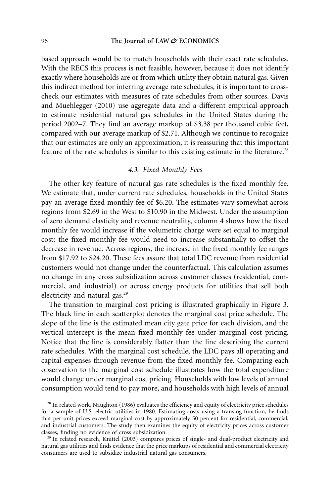based approach would be to match households with their exact rate schedules. With the RECS this process is not feasible, however, because it does not identify exactly where households are or from which utility they obtain natural gas. Given this indirect method for inferring average rate schedules, it is important to crosscheck our estimates with measures of rate schedules from other sources. Davis and Muehlegger (2010) use aggregate data and a different empirical approach to estimate residential natural gas schedules in the United States during the period 2002–7. They find an average markup of \$3.38 per thousand cubic feet, compared with our average markup of \$2.71. Although we continue to recognize that our estimates are only an approximation, it is reassuring that this important feature of the rate schedules is similar to this existing estimate in the literature.<sup>28</sup>

# *4.3. Fixed Monthly Fees*

The other key feature of natural gas rate schedules is the fixed monthly fee. We estimate that, under current rate schedules, households in the United States pay an average fixed monthly fee of \$6.20. The estimates vary somewhat across regions from \$2.69 in the West to \$10.90 in the Midwest. Under the assumption of zero demand elasticity and revenue neutrality, column 4 shows how the fixed monthly fee would increase if the volumetric charge were set equal to marginal cost: the fixed monthly fee would need to increase substantially to offset the decrease in revenue. Across regions, the increase in the fixed monthly fee ranges from \$17.92 to \$24.20. These fees assure that total LDC revenue from residential customers would not change under the counterfactual. This calculation assumes no change in any cross subsidization across customer classes (residential, commercial, and industrial) or across energy products for utilities that sell both electricity and natural gas.<sup>29</sup>

The transition to marginal cost pricing is illustrated graphically in Figure 3. The black line in each scatterplot denotes the marginal cost price schedule. The slope of the line is the estimated mean city gate price for each division, and the vertical intercept is the mean fixed monthly fee under marginal cost pricing. Notice that the line is considerably flatter than the line describing the current rate schedules. With the marginal cost schedule, the LDC pays all operating and capital expenses through revenue from the fixed monthly fee. Comparing each observation to the marginal cost schedule illustrates how the total expenditure would change under marginal cost pricing. Households with low levels of annual consumption would tend to pay more, and households with high levels of annual

<sup>&</sup>lt;sup>28</sup> In related work, Naughton (1986) evaluates the efficiency and equity of electricity price schedules for a sample of U.S. electric utilities in 1980. Estimating costs using a translog function, he finds that per-unit prices exceed marginal cost by approximately 50 percent for residential, commercial, and industrial customers. The study then examines the equity of electricity prices across customer classes, finding no evidence of cross subsidization.

<sup>&</sup>lt;sup>29</sup> In related research, Knittel (2003) compares prices of single- and dual-product electricity and natural gas utilities and finds evidence that the price markups of residential and commercial electricity consumers are used to subsidize industrial natural gas consumers.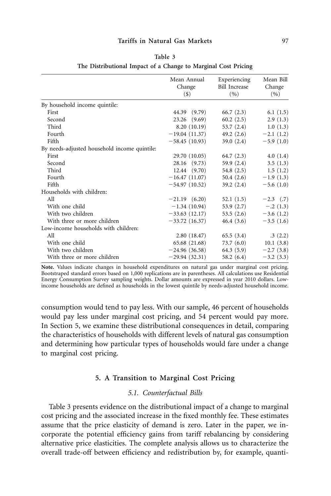#### **Tariffs in Natural Gas Markets** 97

|                                              | Mean Annual<br>Change<br>$($ \$) | Experiencing<br><b>Bill Increase</b><br>(9) | Mean Bill<br>Change<br>(9) |
|----------------------------------------------|----------------------------------|---------------------------------------------|----------------------------|
| By household income quintile:                |                                  |                                             |                            |
| First                                        | 44.39 (9.79)                     | 66.7(2.3)                                   | 6.1(1.5)                   |
| Second                                       | 23.26 (9.69)                     | 60.2(2.5)                                   | 2.9(1.3)                   |
| Third                                        | 8.20 (10.19)                     | 53.7(2.4)                                   | 1.0(1.3)                   |
| Fourth                                       | $-19.04(11.37)$                  | 49.2 (2.6)                                  | $-2.1(1.2)$                |
| Fifth                                        | $-58.45(10.93)$                  | 39.0(2.4)                                   | $-5.9(1.0)$                |
| By needs-adjusted household income quintile: |                                  |                                             |                            |
| First                                        | 29.70 (10.05)                    | 64.7(2.3)                                   | 4.0(1.4)                   |
| Second                                       | 28.16 (9.73)                     | 59.9 (2.4)                                  | 3.5(1.3)                   |
| Third                                        | 12.44(9.70)                      | 54.8 (2.5)                                  | 1.5(1.2)                   |
| Fourth                                       | $-16.47(11.07)$                  | 50.4 (2.6)                                  | $-1.9(1.3)$                |
| Fifth                                        | $-54.97(10.52)$                  | 39.2(2.4)                                   | $-5.6(1.0)$                |
| Households with children:                    |                                  |                                             |                            |
| All                                          | $-21.19(6.20)$                   | 52.1 (1.5)                                  | $-2.3$ (.7)                |
| With one child                               | $-1.34(10.94)$                   | 53.9 (2.7)                                  | $-.2(1.3)$                 |
| With two children                            | $-33.63(12.17)$                  | 53.5(2.6)                                   | $-3.6(1.2)$                |
| With three or more children                  | $-33.72(16.37)$                  | 46.4(3.6)                                   | $-3.5(1.6)$                |
| Low-income households with children:         |                                  |                                             |                            |
| All                                          | 2.80(18.47)                      | 65.5(3.4)                                   | .3(2.2)                    |
| With one child                               | 65.68 (21.68)                    | 73.7 (6.0)                                  | 10.1(3.8)                  |
| With two children                            | $-24.96(36.58)$                  | 64.3 (5.9)                                  | $-2.7(3.8)$                |
| With three or more children                  | $-29.94(32.31)$                  | 58.2 $(6.4)$                                | $-3.2(3.3)$                |

| Table 3                                                        |  |
|----------------------------------------------------------------|--|
| The Distributional Impact of a Change to Marginal Cost Pricing |  |

**Note.** Values indicate changes in household expenditures on natural gas under marginal cost pricing. Bootstraped standard errors based on 1,000 replications are in parentheses. All calculations use Residential Energy Consumption Survey sampling weights. Dollar amounts are expressed in year 2010 dollars. Lowincome households are defined as households in the lowest quintile by needs-adjusted household income.

consumption would tend to pay less. With our sample, 46 percent of households would pay less under marginal cost pricing, and 54 percent would pay more. In Section 5, we examine these distributional consequences in detail, comparing the characteristics of households with different levels of natural gas consumption and determining how particular types of households would fare under a change to marginal cost pricing.

#### **5. A Transition to Marginal Cost Pricing**

# *5.1. Counterfactual Bills*

Table 3 presents evidence on the distributional impact of a change to marginal cost pricing and the associated increase in the fixed monthly fee. These estimates assume that the price elasticity of demand is zero. Later in the paper, we incorporate the potential efficiency gains from tariff rebalancing by considering alternative price elasticities. The complete analysis allows us to characterize the overall trade-off between efficiency and redistribution by, for example, quanti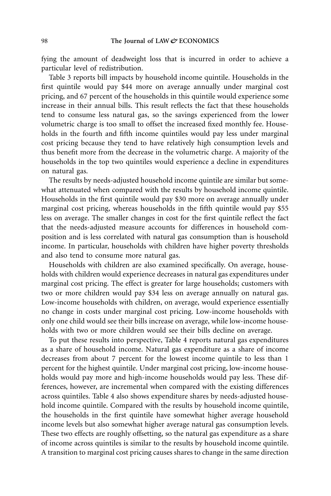fying the amount of deadweight loss that is incurred in order to achieve a particular level of redistribution.

Table 3 reports bill impacts by household income quintile. Households in the first quintile would pay \$44 more on average annually under marginal cost pricing, and 67 percent of the households in this quintile would experience some increase in their annual bills. This result reflects the fact that these households tend to consume less natural gas, so the savings experienced from the lower volumetric charge is too small to offset the increased fixed monthly fee. Households in the fourth and fifth income quintiles would pay less under marginal cost pricing because they tend to have relatively high consumption levels and thus benefit more from the decrease in the volumetric charge. A majority of the households in the top two quintiles would experience a decline in expenditures on natural gas.

The results by needs-adjusted household income quintile are similar but somewhat attenuated when compared with the results by household income quintile. Households in the first quintile would pay \$30 more on average annually under marginal cost pricing, whereas households in the fifth quintile would pay \$55 less on average. The smaller changes in cost for the first quintile reflect the fact that the needs-adjusted measure accounts for differences in household composition and is less correlated with natural gas consumption than is household income. In particular, households with children have higher poverty thresholds and also tend to consume more natural gas.

Households with children are also examined specifically. On average, households with children would experience decreases in natural gas expenditures under marginal cost pricing. The effect is greater for large households; customers with two or more children would pay \$34 less on average annually on natural gas. Low-income households with children, on average, would experience essentially no change in costs under marginal cost pricing. Low-income households with only one child would see their bills increase on average, while low-income households with two or more children would see their bills decline on average.

To put these results into perspective, Table 4 reports natural gas expenditures as a share of household income. Natural gas expenditure as a share of income decreases from about 7 percent for the lowest income quintile to less than 1 percent for the highest quintile. Under marginal cost pricing, low-income households would pay more and high-income households would pay less. These differences, however, are incremental when compared with the existing differences across quintiles. Table 4 also shows expenditure shares by needs-adjusted household income quintile. Compared with the results by household income quintile, the households in the first quintile have somewhat higher average household income levels but also somewhat higher average natural gas consumption levels. These two effects are roughly offsetting, so the natural gas expenditure as a share of income across quintiles is similar to the results by household income quintile. A transition to marginal cost pricing causes shares to change in the same direction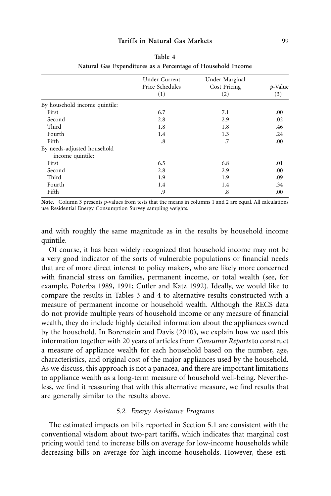#### **Tariffs in Natural Gas Markets** 99

|                                                 | Under Current<br>Price Schedules<br>(1) | Under Marginal<br>Cost Pricing<br>(2) | p-Value<br>(3) |
|-------------------------------------------------|-----------------------------------------|---------------------------------------|----------------|
| By household income quintile:                   |                                         |                                       |                |
| First                                           | 6.7                                     | 7.1                                   | .00            |
| Second                                          | 2.8                                     | 2.9                                   | .02            |
| Third                                           | 1.8                                     | 1.8                                   | .46            |
| Fourth                                          | 1.4                                     | 1.3                                   | .24            |
| Fifth                                           | .8                                      | .7                                    | .00            |
| By needs-adjusted household<br>income quintile: |                                         |                                       |                |
| First                                           | 6.5                                     | 6.8                                   | .01            |
| Second                                          | 2.8                                     | 2.9                                   | .00            |
| Third                                           | 1.9                                     | 1.9                                   | .09            |
| Fourth                                          | 1.4                                     | 1.4                                   | .34            |
| Fifth                                           | .9                                      | .8                                    | .00            |
|                                                 |                                         |                                       |                |

| Table 4                                                      |  |
|--------------------------------------------------------------|--|
| Natural Gas Expenditures as a Percentage of Household Income |  |

**Note.** Column 3 presents *p*-values from tests that the means in columns 1 and 2 are equal. All calculations use Residential Energy Consumption Survey sampling weights.

and with roughly the same magnitude as in the results by household income quintile.

Of course, it has been widely recognized that household income may not be a very good indicator of the sorts of vulnerable populations or financial needs that are of more direct interest to policy makers, who are likely more concerned with financial stress on families, permanent income, or total wealth (see, for example, Poterba 1989, 1991; Cutler and Katz 1992). Ideally, we would like to compare the results in Tables 3 and 4 to alternative results constructed with a measure of permanent income or household wealth. Although the RECS data do not provide multiple years of household income or any measure of financial wealth, they do include highly detailed information about the appliances owned by the household. In Borenstein and Davis (2010), we explain how we used this information together with 20 years of articles from *Consumer Reports* to construct a measure of appliance wealth for each household based on the number, age, characteristics, and original cost of the major appliances used by the household. As we discuss, this approach is not a panacea, and there are important limitations to appliance wealth as a long-term measure of household well-being. Nevertheless, we find it reassuring that with this alternative measure, we find results that are generally similar to the results above.

#### *5.2. Energy Assistance Programs*

The estimated impacts on bills reported in Section 5.1 are consistent with the conventional wisdom about two-part tariffs, which indicates that marginal cost pricing would tend to increase bills on average for low-income households while decreasing bills on average for high-income households. However, these esti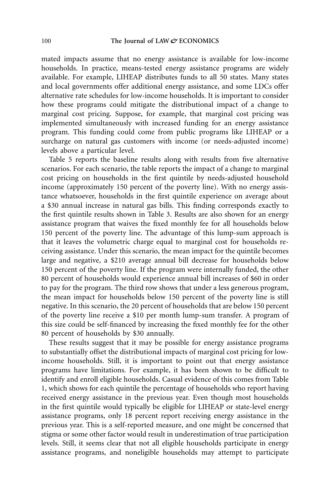mated impacts assume that no energy assistance is available for low-income households. In practice, means-tested energy assistance programs are widely available. For example, LIHEAP distributes funds to all 50 states. Many states and local governments offer additional energy assistance, and some LDCs offer alternative rate schedules for low-income households. It is important to consider how these programs could mitigate the distributional impact of a change to marginal cost pricing. Suppose, for example, that marginal cost pricing was implemented simultaneously with increased funding for an energy assistance program. This funding could come from public programs like LIHEAP or a surcharge on natural gas customers with income (or needs-adjusted income) levels above a particular level.

Table 5 reports the baseline results along with results from five alternative scenarios. For each scenario, the table reports the impact of a change to marginal cost pricing on households in the first quintile by needs-adjusted household income (approximately 150 percent of the poverty line). With no energy assistance whatsoever, households in the first quintile experience on average about a \$30 annual increase in natural gas bills. This finding corresponds exactly to the first quintile results shown in Table 3. Results are also shown for an energy assistance program that waives the fixed monthly fee for all households below 150 percent of the poverty line. The advantage of this lump-sum approach is that it leaves the volumetric charge equal to marginal cost for households receiving assistance. Under this scenario, the mean impact for the quintile becomes large and negative, a \$210 average annual bill decrease for households below 150 percent of the poverty line. If the program were internally funded, the other 80 percent of households would experience annual bill increases of \$60 in order to pay for the program. The third row shows that under a less generous program, the mean impact for households below 150 percent of the poverty line is still negative. In this scenario, the 20 percent of households that are below 150 percent of the poverty line receive a \$10 per month lump-sum transfer. A program of this size could be self-financed by increasing the fixed monthly fee for the other 80 percent of households by \$30 annually.

These results suggest that it may be possible for energy assistance programs to substantially offset the distributional impacts of marginal cost pricing for lowincome households. Still, it is important to point out that energy assistance programs have limitations. For example, it has been shown to be difficult to identify and enroll eligible households. Casual evidence of this comes from Table 1, which shows for each quintile the percentage of households who report having received energy assistance in the previous year. Even though most households in the first quintile would typically be eligible for LIHEAP or state-level energy assistance programs, only 18 percent report receiving energy assistance in the previous year. This is a self-reported measure, and one might be concerned that stigma or some other factor would result in underestimation of true participation levels. Still, it seems clear that not all eligible households participate in energy assistance programs, and noneligible households may attempt to participate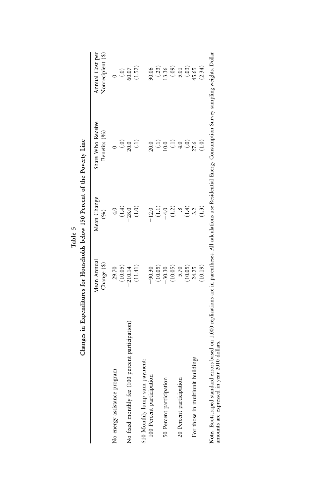|                                                  | Mean Annual<br>Change (\$) | Mean Change<br>(%)           | Share Who Receive<br>Benefits (%) | Annual Cost per<br>Nonrecipient (\$) |
|--------------------------------------------------|----------------------------|------------------------------|-----------------------------------|--------------------------------------|
| No energy assistance program                     | 29.70                      | $\ddot{ }$                   |                                   |                                      |
|                                                  | (10.05)                    | (1.4)                        | $\hat{S}$                         | <u>ි</u>                             |
| No fixed monthly fee (100 percent participation) | $-210.14$                  | $-28.0$                      | 20.0                              | 60.07                                |
|                                                  | (11.41)                    | $\widetilde{=}$              | Ê                                 | 1.52)                                |
| \$10 Monthly lump-sum payment:                   |                            |                              |                                   |                                      |
| 100 Percent participation                        | $-90.30$                   | $-12.0$                      | 20.0                              | <b>0.06</b>                          |
|                                                  | (10.05)                    | $\left(\frac{1}{1}\right)$   | $\widehat{\Xi}$                   | (.23)                                |
| 50 Percent participation                         | $-30.30$                   | $-4.0$                       | 10.0                              | 13.36                                |
|                                                  | (10.05)                    | $\left( \frac{2}{2} \right)$ | $\widehat{\Xi}$                   | (0.0)                                |
| 20 Percent participation                         | 5.70                       |                              | 4.0                               | 5.01                                 |
|                                                  | (10.05)                    | (1.4)                        | $\odot$                           | (.03)                                |
| For those in multiunit buildings                 | $-24.25$                   | $-3.2$                       | 27.6                              | 45.65                                |
|                                                  | (10.19)                    | $\Xi$                        | $\widetilde{=}$                   | (2.34)                               |

|            | n……           |
|------------|---------------|
|            | 1EQ           |
| 5<br>Table | $\frac{1}{2}$ |

Note. Bootstraped standard errors based on a<br>nounts are expressed in year 2010 dollars. amounts are expressed in year 2010 dollars.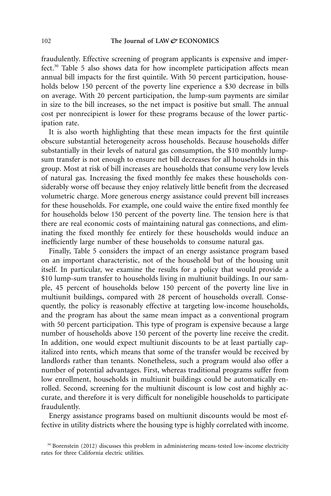fraudulently. Effective screening of program applicants is expensive and imperfect.30 Table 5 also shows data for how incomplete participation affects mean annual bill impacts for the first quintile. With 50 percent participation, households below 150 percent of the poverty line experience a \$30 decrease in bills on average. With 20 percent participation, the lump-sum payments are similar in size to the bill increases, so the net impact is positive but small. The annual cost per nonrecipient is lower for these programs because of the lower participation rate.

It is also worth highlighting that these mean impacts for the first quintile obscure substantial heterogeneity across households. Because households differ substantially in their levels of natural gas consumption, the \$10 monthly lumpsum transfer is not enough to ensure net bill decreases for all households in this group. Most at risk of bill increases are households that consume very low levels of natural gas. Increasing the fixed monthly fee makes these households considerably worse off because they enjoy relatively little benefit from the decreased volumetric charge. More generous energy assistance could prevent bill increases for these households. For example, one could waive the entire fixed monthly fee for households below 150 percent of the poverty line. The tension here is that there are real economic costs of maintaining natural gas connections, and eliminating the fixed monthly fee entirely for these households would induce an inefficiently large number of these households to consume natural gas.

Finally, Table 5 considers the impact of an energy assistance program based on an important characteristic, not of the household but of the housing unit itself. In particular, we examine the results for a policy that would provide a \$10 lump-sum transfer to households living in multiunit buildings. In our sample, 45 percent of households below 150 percent of the poverty line live in multiunit buildings, compared with 28 percent of households overall. Consequently, the policy is reasonably effective at targeting low-income households, and the program has about the same mean impact as a conventional program with 50 percent participation. This type of program is expensive because a large number of households above 150 percent of the poverty line receive the credit. In addition, one would expect multiunit discounts to be at least partially capitalized into rents, which means that some of the transfer would be received by landlords rather than tenants. Nonetheless, such a program would also offer a number of potential advantages. First, whereas traditional programs suffer from low enrollment, households in multiunit buildings could be automatically enrolled. Second, screening for the multiunit discount is low cost and highly accurate, and therefore it is very difficult for noneligible households to participate fraudulently.

Energy assistance programs based on multiunit discounts would be most effective in utility districts where the housing type is highly correlated with income.

 $30$  Borenstein (2012) discusses this problem in administering means-tested low-income electricity rates for three California electric utilities.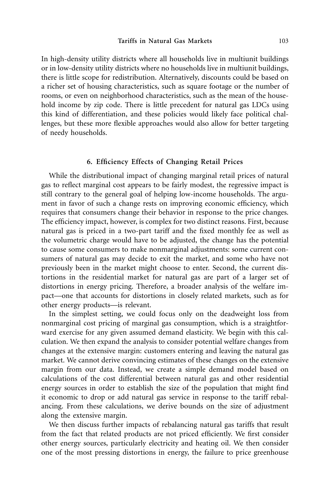In high-density utility districts where all households live in multiunit buildings or in low-density utility districts where no households live in multiunit buildings, there is little scope for redistribution. Alternatively, discounts could be based on a richer set of housing characteristics, such as square footage or the number of rooms, or even on neighborhood characteristics, such as the mean of the household income by zip code. There is little precedent for natural gas LDCs using this kind of differentiation, and these policies would likely face political challenges, but these more flexible approaches would also allow for better targeting of needy households.

#### **6. Efficiency Effects of Changing Retail Prices**

While the distributional impact of changing marginal retail prices of natural gas to reflect marginal cost appears to be fairly modest, the regressive impact is still contrary to the general goal of helping low-income households. The argument in favor of such a change rests on improving economic efficiency, which requires that consumers change their behavior in response to the price changes. The efficiency impact, however, is complex for two distinct reasons. First, because natural gas is priced in a two-part tariff and the fixed monthly fee as well as the volumetric charge would have to be adjusted, the change has the potential to cause some consumers to make nonmarginal adjustments: some current consumers of natural gas may decide to exit the market, and some who have not previously been in the market might choose to enter. Second, the current distortions in the residential market for natural gas are part of a larger set of distortions in energy pricing. Therefore, a broader analysis of the welfare impact—one that accounts for distortions in closely related markets, such as for other energy products—is relevant.

In the simplest setting, we could focus only on the deadweight loss from nonmarginal cost pricing of marginal gas consumption, which is a straightforward exercise for any given assumed demand elasticity. We begin with this calculation. We then expand the analysis to consider potential welfare changes from changes at the extensive margin: customers entering and leaving the natural gas market. We cannot derive convincing estimates of these changes on the extensive margin from our data. Instead, we create a simple demand model based on calculations of the cost differential between natural gas and other residential energy sources in order to establish the size of the population that might find it economic to drop or add natural gas service in response to the tariff rebalancing. From these calculations, we derive bounds on the size of adjustment along the extensive margin.

We then discuss further impacts of rebalancing natural gas tariffs that result from the fact that related products are not priced efficiently. We first consider other energy sources, particularly electricity and heating oil. We then consider one of the most pressing distortions in energy, the failure to price greenhouse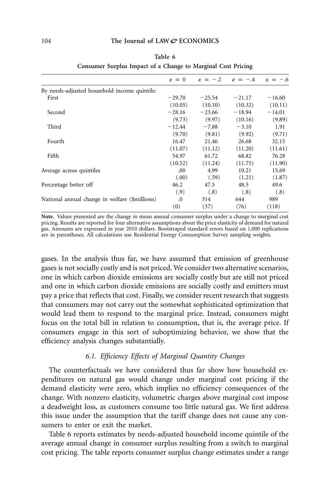|                                                | $\varepsilon = 0$ | $\varepsilon = -2$ | $\varepsilon = -.4$ | $-.6$<br>$\varepsilon =$ |
|------------------------------------------------|-------------------|--------------------|---------------------|--------------------------|
| By needs-adjusted household income quintile:   |                   |                    |                     |                          |
| First                                          | $-29.70$          | $-25.54$           | $-21.17$            | $-16.60$                 |
|                                                | (10.05)           | (10.10)            | (10.32)             | (10.11)                  |
| Second                                         | $-28.16$          | $-23.66$           | $-18.94$            | $-14.01$                 |
|                                                | (9.73)            | (9.97)             | (10.16)             | (9.89)                   |
| Third                                          | $-12.44$          | $-7.88$            | $-3.10$             | 1.91                     |
|                                                | (9.70)            | (9.81)             | (9.92)              | (9.71)                   |
| Fourth                                         | 16.47             | 21.46              | 26.68               | 32.15                    |
|                                                | (11.07)           | (11.12)            | (11.20)             | (11.61)                  |
| Fifth                                          | 54.97             | 61.72              | 68.82               | 76.28                    |
|                                                | (10.52)           | (11.24)            | (11.75)             | (11.90)                  |
| Average across quintiles                       | .00.              | 4.99               | 10.21               | 15.69                    |
|                                                | (.00)             | (.59)              | (1.21)              | (1.87)                   |
| Percentage better off                          | 46.2              | 47.5               | 48.5                | 49.6                     |
|                                                | (.9)              | (.8)               | (.8)                | (.8)                     |
| National annual change in welfare (\$millions) | $\cdot$           | 314                | 644                 | 989                      |
|                                                | (0)               | (37)               | (76)                | (118)                    |

| Table 6                                                      |  |
|--------------------------------------------------------------|--|
| Consumer Surplus Impact of a Change to Marginal Cost Pricing |  |

**Note.** Values presented are the change in mean annual consumer surplus under a change to marginal cost pricing. Results are reported for four alternative assumptions about the price elasticity of demand for natural gas. Amounts are expressed in year 2010 dollars. Bootstraped standard errors based on 1,000 replications are in parentheses. All calculations use Residential Energy Consumption Survey sampling weights.

gases. In the analysis thus far, we have assumed that emission of greenhouse gases is not socially costly and is not priced. We consider two alternative scenarios, one in which carbon dioxide emissions are socially costly but are still not priced and one in which carbon dioxide emissions are socially costly and emitters must pay a price that reflects that cost. Finally, we consider recent research that suggests that consumers may not carry out the somewhat sophisticated optimization that would lead them to respond to the marginal price. Instead, consumers might focus on the total bill in relation to consumption, that is, the average price. If consumers engage in this sort of suboptimizing behavior, we show that the efficiency analysis changes substantially.

# *6.1. Efficiency Effects of Marginal Quantity Changes*

The counterfactuals we have considered thus far show how household expenditures on natural gas would change under marginal cost pricing if the demand elasticity were zero, which implies no efficiency consequences of the change. With nonzero elasticity, volumetric charges above marginal cost impose a deadweight loss, as customers consume too little natural gas. We first address this issue under the assumption that the tariff change does not cause any consumers to enter or exit the market.

Table 6 reports estimates by needs-adjusted household income quintile of the average annual change in consumer surplus resulting from a switch to marginal cost pricing. The table reports consumer surplus change estimates under a range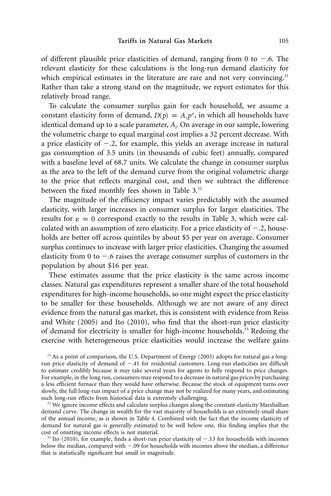of different plausible price elasticities of demand, ranging from 0 to  $-.6$ . The relevant elasticity for these calculations is the long-run demand elasticity for which empirical estimates in the literature are rare and not very convincing.<sup>31</sup> Rather than take a strong stand on the magnitude, we report estimates for this relatively broad range.

To calculate the consumer surplus gain for each household, we assume a constant elasticity form of demand,  $D(p) = A_i p^e$ , in which all households have identical demand up to a scale parameter, *Ai* . On average in our sample, lowering the volumetric charge to equal marginal cost implies a 32 percent decrease. With a price elasticity of  $-.2$ , for example, this yields an average increase in natural gas consumption of 3.5 units (in thousands of cubic feet) annually, compared with a baseline level of 68.7 units. We calculate the change in consumer surplus as the area to the left of the demand curve from the original volumetric charge to the price that reflects marginal cost, and then we subtract the difference between the fixed monthly fees shown in Table 3.<sup>32</sup>

The magnitude of the efficiency impact varies predictably with the assumed elasticity, with larger increases in consumer surplus for larger elasticities. The results for  $\varepsilon = 0$  correspond exactly to the results in Table 3, which were calculated with an assumption of zero elasticity. For a price elasticity of  $-.2$ , households are better off across quintiles by about \$5 per year on average. Consumer surplus continues to increase with larger price elasticities. Changing the assumed elasticity from 0 to  $-.6$  raises the average consumer surplus of customers in the population by about \$16 per year.

These estimates assume that the price elasticity is the same across income classes. Natural gas expenditures represent a smaller share of the total household expenditures for high-income households, so one might expect the price elasticity to be smaller for these households. Although we are not aware of any direct evidence from the natural gas market, this is consistent with evidence from Reiss and White (2005) and Ito (2010), who find that the short-run price elasticity of demand for electricity is smaller for high-income households.33 Redoing the exercise with heterogeneous price elasticities would increase the welfare gains

<sup>31</sup> As a point of comparison, the U.S. Department of Energy (2003) adopts for natural gas a longrun price elasticity of demand of -.41 for residential customers. Long-run elasticities are difficult to estimate credibly because it may take several years for agents to fully respond to price changes. For example, in the long run, consumers may respond to a decrease in natural gas prices by purchasing a less efficient furnace than they would have otherwise. Because the stock of equipment turns over slowly, the full long-run impact of a price change may not be realized for many years, and estimating such long-run effects from historical data is extremely challenging.

 $32$  We ignore income effects and calculate surplus changes along the constant-elasticity Marshallian demand curve. The change in wealth for the vast majority of households is an extremely small share of the annual income, as is shown in Table 4. Combined with the fact that the income elasticity of demand for natural gas is generally estimated to be well below one, this finding implies that the cost of omitting income effects is not material.

<sup>33</sup> Ito (2010), for example, finds a short-run price elasticity of  $-.13$  for households with incomes below the median, compared with  $-.09$  for households with incomes above the median, a difference that is statistically significant but small in magnitude.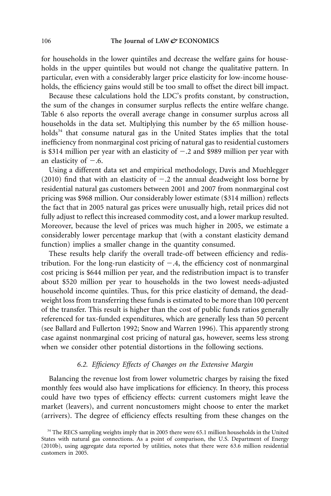for households in the lower quintiles and decrease the welfare gains for households in the upper quintiles but would not change the qualitative pattern. In particular, even with a considerably larger price elasticity for low-income households, the efficiency gains would still be too small to offset the direct bill impact.

Because these calculations hold the LDC's profits constant, by construction, the sum of the changes in consumer surplus reflects the entire welfare change. Table 6 also reports the overall average change in consumer surplus across all households in the data set. Multiplying this number by the 65 million households<sup>34</sup> that consume natural gas in the United States implies that the total inefficiency from nonmarginal cost pricing of natural gas to residential customers is \$314 million per year with an elasticity of  $-.2$  and \$989 million per year with an elasticity of  $-.6$ .

Using a different data set and empirical methodology, Davis and Muehlegger (2010) find that with an elasticity of  $-.2$  the annual deadweight loss borne by residential natural gas customers between 2001 and 2007 from nonmarginal cost pricing was \$968 million. Our considerably lower estimate (\$314 million) reflects the fact that in 2005 natural gas prices were unusually high, retail prices did not fully adjust to reflect this increased commodity cost, and a lower markup resulted. Moreover, because the level of prices was much higher in 2005, we estimate a considerably lower percentage markup that (with a constant elasticity demand function) implies a smaller change in the quantity consumed.

These results help clarify the overall trade-off between efficiency and redistribution. For the long-run elasticity of  $-.4$ , the efficiency cost of nonmarginal cost pricing is \$644 million per year, and the redistribution impact is to transfer about \$520 million per year to households in the two lowest needs-adjusted household income quintiles. Thus, for this price elasticity of demand, the deadweight loss from transferring these funds is estimated to be more than 100 percent of the transfer. This result is higher than the cost of public funds ratios generally referenced for tax-funded expenditures, which are generally less than 50 percent (see Ballard and Fullerton 1992; Snow and Warren 1996). This apparently strong case against nonmarginal cost pricing of natural gas, however, seems less strong when we consider other potential distortions in the following sections.

# *6.2. Efficiency Effects of Changes on the Extensive Margin*

Balancing the revenue lost from lower volumetric charges by raising the fixed monthly fees would also have implications for efficiency. In theory, this process could have two types of efficiency effects: current customers might leave the market (leavers), and current noncustomers might choose to enter the market (arrivers). The degree of efficiency effects resulting from these changes on the

<sup>&</sup>lt;sup>34</sup> The RECS sampling weights imply that in 2005 there were 65.1 million households in the United States with natural gas connections. As a point of comparison, the U.S. Department of Energy (2010b), using aggregate data reported by utilities, notes that there were 63.6 million residential customers in 2005.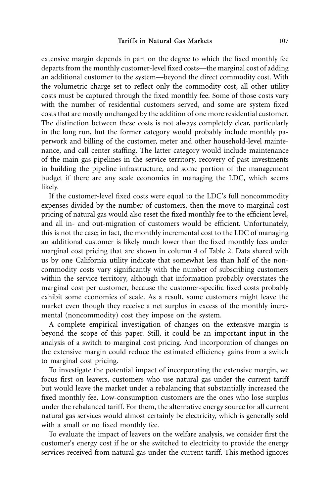extensive margin depends in part on the degree to which the fixed monthly fee departs from the monthly customer-level fixed costs—the marginal cost of adding an additional customer to the system—beyond the direct commodity cost. With the volumetric charge set to reflect only the commodity cost, all other utility costs must be captured through the fixed monthly fee. Some of those costs vary with the number of residential customers served, and some are system fixed costs that are mostly unchanged by the addition of one more residential customer. The distinction between these costs is not always completely clear, particularly in the long run, but the former category would probably include monthly paperwork and billing of the customer, meter and other household-level maintenance, and call center staffing. The latter category would include maintenance of the main gas pipelines in the service territory, recovery of past investments in building the pipeline infrastructure, and some portion of the management budget if there are any scale economies in managing the LDC, which seems likely.

If the customer-level fixed costs were equal to the LDC's full noncommodity expenses divided by the number of customers, then the move to marginal cost pricing of natural gas would also reset the fixed monthly fee to the efficient level, and all in- and out-migration of customers would be efficient. Unfortunately, this is not the case; in fact, the monthly incremental cost to the LDC of managing an additional customer is likely much lower than the fixed monthly fees under marginal cost pricing that are shown in column 4 of Table 2. Data shared with us by one California utility indicate that somewhat less than half of the noncommodity costs vary significantly with the number of subscribing customers within the service territory, although that information probably overstates the marginal cost per customer, because the customer-specific fixed costs probably exhibit some economies of scale. As a result, some customers might leave the market even though they receive a net surplus in excess of the monthly incremental (noncommodity) cost they impose on the system.

A complete empirical investigation of changes on the extensive margin is beyond the scope of this paper. Still, it could be an important input in the analysis of a switch to marginal cost pricing. And incorporation of changes on the extensive margin could reduce the estimated efficiency gains from a switch to marginal cost pricing.

To investigate the potential impact of incorporating the extensive margin, we focus first on leavers, customers who use natural gas under the current tariff but would leave the market under a rebalancing that substantially increased the fixed monthly fee. Low-consumption customers are the ones who lose surplus under the rebalanced tariff. For them, the alternative energy source for all current natural gas services would almost certainly be electricity, which is generally sold with a small or no fixed monthly fee.

To evaluate the impact of leavers on the welfare analysis, we consider first the customer's energy cost if he or she switched to electricity to provide the energy services received from natural gas under the current tariff. This method ignores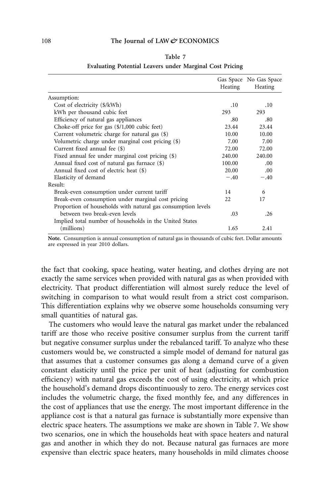|--|--|

|                                                              | Heating | Gas Space No Gas Space<br>Heating |
|--------------------------------------------------------------|---------|-----------------------------------|
| Assumption:                                                  |         |                                   |
| Cost of electricity (\$/kWh)                                 | .10     | .10                               |
| kWh per thousand cubic feet                                  | 293     | 293                               |
| Efficiency of natural gas appliances                         | .80     | .80                               |
| Choke-off price for gas $(\frac{1}{0.000})$ cubic feet)      | 23.44   | 23.44                             |
| Current volumetric charge for natural gas (\$)               | 10.00   | 10.00                             |
| Volumetric charge under marginal cost pricing (\$)           | 7.00    | 7.00                              |
| Current fixed annual fee (\$)                                | 72.00   | 72.00                             |
| Fixed annual fee under marginal cost pricing (\$)            | 240.00  | 240.00                            |
| Annual fixed cost of natural gas furnace (\$)                | 100.00  | .00.                              |
| Annual fixed cost of electric heat (\$)                      | 20.00   | .00                               |
| Elasticity of demand                                         | $-.40$  | $-.40$                            |
| Result:                                                      |         |                                   |
| Break-even consumption under current tariff                  | 14      | 6                                 |
| Break-even consumption under marginal cost pricing           | 22      | 17                                |
| Proportion of households with natural gas consumption levels |         |                                   |
| between two break-even levels                                | .03     | .26                               |
| Implied total number of households in the United States      |         |                                   |
| (millions)                                                   | 1.65    | 2.41                              |

#### **Evaluating Potential Leavers under Marginal Cost Pricing**

**Note.** Consumption is annual consumption of natural gas in thousands of cubic feet. Dollar amounts are expressed in year 2010 dollars.

the fact that cooking, space heating, water heating, and clothes drying are not exactly the same services when provided with natural gas as when provided with electricity. That product differentiation will almost surely reduce the level of switching in comparison to what would result from a strict cost comparison. This differentiation explains why we observe some households consuming very small quantities of natural gas.

The customers who would leave the natural gas market under the rebalanced tariff are those who receive positive consumer surplus from the current tariff but negative consumer surplus under the rebalanced tariff. To analyze who these customers would be, we constructed a simple model of demand for natural gas that assumes that a customer consumes gas along a demand curve of a given constant elasticity until the price per unit of heat (adjusting for combustion efficiency) with natural gas exceeds the cost of using electricity, at which price the household's demand drops discontinuously to zero. The energy services cost includes the volumetric charge, the fixed monthly fee, and any differences in the cost of appliances that use the energy. The most important difference in the appliance cost is that a natural gas furnace is substantially more expensive than electric space heaters. The assumptions we make are shown in Table 7. We show two scenarios, one in which the households heat with space heaters and natural gas and another in which they do not. Because natural gas furnaces are more expensive than electric space heaters, many households in mild climates choose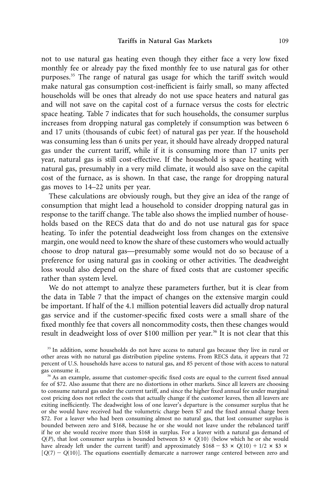not to use natural gas heating even though they either face a very low fixed monthly fee or already pay the fixed monthly fee to use natural gas for other purposes.35 The range of natural gas usage for which the tariff switch would make natural gas consumption cost-inefficient is fairly small, so many affected households will be ones that already do not use space heaters and natural gas and will not save on the capital cost of a furnace versus the costs for electric space heating. Table 7 indicates that for such households, the consumer surplus increases from dropping natural gas completely if consumption was between 6 and 17 units (thousands of cubic feet) of natural gas per year. If the household was consuming less than 6 units per year, it should have already dropped natural gas under the current tariff, while if it is consuming more than 17 units per year, natural gas is still cost-effective. If the household is space heating with natural gas, presumably in a very mild climate, it would also save on the capital cost of the furnace, as is shown. In that case, the range for dropping natural gas moves to 14–22 units per year.

These calculations are obviously rough, but they give an idea of the range of consumption that might lead a household to consider dropping natural gas in response to the tariff change. The table also shows the implied number of households based on the RECS data that do and do not use natural gas for space heating. To infer the potential deadweight loss from changes on the extensive margin, one would need to know the share of these customers who would actually choose to drop natural gas—presumably some would not do so because of a preference for using natural gas in cooking or other activities. The deadweight loss would also depend on the share of fixed costs that are customer specific rather than system level.

We do not attempt to analyze these parameters further, but it is clear from the data in Table 7 that the impact of changes on the extensive margin could be important. If half of the 4.1 million potential leavers did actually drop natural gas service and if the customer-specific fixed costs were a small share of the fixed monthly fee that covers all noncommodity costs, then these changes would result in deadweight loss of over \$100 million per year.<sup>36</sup> It is not clear that this

<sup>35</sup> In addition, some households do not have access to natural gas because they live in rural or other areas with no natural gas distribution pipeline systems. From RECS data, it appears that 72 percent of U.S. households have access to natural gas, and 85 percent of those with access to natural gas consume it.

<sup>36</sup> As an example, assume that customer-specific fixed costs are equal to the current fixed annual fee of \$72. Also assume that there are no distortions in other markets. Since all leavers are choosing to consume natural gas under the current tariff, and since the higher fixed annual fee under marginal cost pricing does not reflect the costs that actually change if the customer leaves, then all leavers are exiting inefficiently. The deadweight loss of one leaver's departure is the consumer surplus that he or she would have received had the volumetric charge been \$7 and the fixed annual charge been \$72. For a leaver who had been consuming almost no natural gas, that lost consumer surplus is bounded between zero and \$168, because he or she would not leave under the rebalanced tariff if he or she would receive more than \$168 in surplus. For a leaver with a natural gas demand of  $Q(P)$ , that lost consumer surplus is bounded between \$3  $\times$  *Q*(10) (below which he or she would have already left under the current tariff) and approximately  $$168 - $3 \times Q(10) + 1/2 \times $3 \times$  $[Q(7) - Q(10)]$ . The equations essentially demarcate a narrower range centered between zero and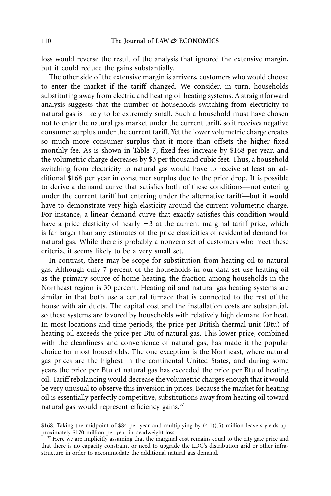loss would reverse the result of the analysis that ignored the extensive margin, but it could reduce the gains substantially.

The other side of the extensive margin is arrivers, customers who would choose to enter the market if the tariff changed. We consider, in turn, households substituting away from electric and heating oil heating systems. A straightforward analysis suggests that the number of households switching from electricity to natural gas is likely to be extremely small. Such a household must have chosen not to enter the natural gas market under the current tariff, so it receives negative consumer surplus under the current tariff. Yet the lower volumetric charge creates so much more consumer surplus that it more than offsets the higher fixed monthly fee. As is shown in Table 7, fixed fees increase by \$168 per year, and the volumetric charge decreases by \$3 per thousand cubic feet. Thus, a household switching from electricity to natural gas would have to receive at least an additional \$168 per year in consumer surplus due to the price drop. It is possible to derive a demand curve that satisfies both of these conditions—not entering under the current tariff but entering under the alternative tariff—but it would have to demonstrate very high elasticity around the current volumetric charge. For instance, a linear demand curve that exactly satisfies this condition would have a price elasticity of nearly  $-3$  at the current marginal tariff price, which is far larger than any estimates of the price elasticities of residential demand for natural gas. While there is probably a nonzero set of customers who meet these criteria, it seems likely to be a very small set.

In contrast, there may be scope for substitution from heating oil to natural gas. Although only 7 percent of the households in our data set use heating oil as the primary source of home heating, the fraction among households in the Northeast region is 30 percent. Heating oil and natural gas heating systems are similar in that both use a central furnace that is connected to the rest of the house with air ducts. The capital cost and the installation costs are substantial, so these systems are favored by households with relatively high demand for heat. In most locations and time periods, the price per British thermal unit (Btu) of heating oil exceeds the price per Btu of natural gas. This lower price, combined with the cleanliness and convenience of natural gas, has made it the popular choice for most households. The one exception is the Northeast, where natural gas prices are the highest in the continental United States, and during some years the price per Btu of natural gas has exceeded the price per Btu of heating oil. Tariff rebalancing would decrease the volumetric charges enough that it would be very unusual to observe this inversion in prices. Because the market for heating oil is essentially perfectly competitive, substitutions away from heating oil toward natural gas would represent efficiency gains.<sup>37</sup>

<sup>\$168.</sup> Taking the midpoint of \$84 per year and multiplying by (4.1)(.5) million leavers yields approximately \$170 million per year in deadweight loss.

<sup>&</sup>lt;sup>37</sup> Here we are implicitly assuming that the marginal cost remains equal to the city gate price and that there is no capacity constraint or need to upgrade the LDC's distribution grid or other infrastructure in order to accommodate the additional natural gas demand.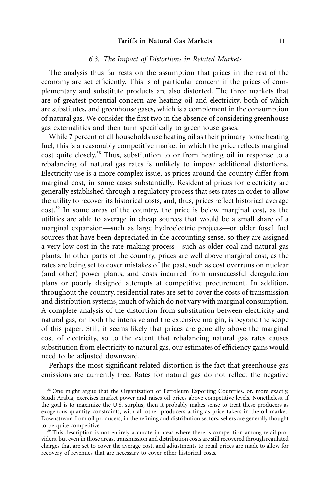#### **Tariffs in Natural Gas Markets** 111

# *6.3. The Impact of Distortions in Related Markets*

The analysis thus far rests on the assumption that prices in the rest of the economy are set efficiently. This is of particular concern if the prices of complementary and substitute products are also distorted. The three markets that are of greatest potential concern are heating oil and electricity, both of which are substitutes, and greenhouse gases, which is a complement in the consumption of natural gas. We consider the first two in the absence of considering greenhouse gas externalities and then turn specifically to greenhouse gases.

While 7 percent of all households use heating oil as their primary home heating fuel, this is a reasonably competitive market in which the price reflects marginal cost quite closely.<sup>38</sup> Thus, substitution to or from heating oil in response to a rebalancing of natural gas rates is unlikely to impose additional distortions. Electricity use is a more complex issue, as prices around the country differ from marginal cost, in some cases substantially. Residential prices for electricity are generally established through a regulatory process that sets rates in order to allow the utility to recover its historical costs, and, thus, prices reflect historical average cost.39 In some areas of the country, the price is below marginal cost, as the utilities are able to average in cheap sources that would be a small share of a marginal expansion—such as large hydroelectric projects—or older fossil fuel sources that have been depreciated in the accounting sense, so they are assigned a very low cost in the rate-making process—such as older coal and natural gas plants. In other parts of the country, prices are well above marginal cost, as the rates are being set to cover mistakes of the past, such as cost overruns on nuclear (and other) power plants, and costs incurred from unsuccessful deregulation plans or poorly designed attempts at competitive procurement. In addition, throughout the country, residential rates are set to cover the costs of transmission and distribution systems, much of which do not vary with marginal consumption. A complete analysis of the distortion from substitution between electricity and natural gas, on both the intensive and the extensive margin, is beyond the scope of this paper. Still, it seems likely that prices are generally above the marginal cost of electricity, so to the extent that rebalancing natural gas rates causes substitution from electricity to natural gas, our estimates of efficiency gains would need to be adjusted downward.

Perhaps the most significant related distortion is the fact that greenhouse gas emissions are currently free. Rates for natural gas do not reflect the negative

<sup>38</sup> One might argue that the Organization of Petroleum Exporting Countries, or, more exactly, Saudi Arabia, exercises market power and raises oil prices above competitive levels. Nonetheless, if the goal is to maximize the U.S. surplus, then it probably makes sense to treat these producers as exogenous quantity constraints, with all other producers acting as price takers in the oil market. Downstream from oil producers, in the refining and distribution sectors, sellers are generally thought to be quite competitive.

<sup>39</sup> This description is not entirely accurate in areas where there is competition among retail providers, but even in those areas, transmission and distribution costs are still recovered through regulated charges that are set to cover the average cost, and adjustments to retail prices are made to allow for recovery of revenues that are necessary to cover other historical costs.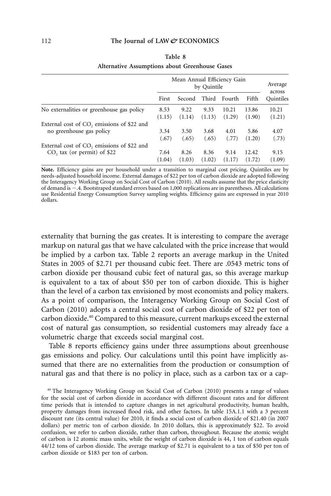|                                                        |        | Mean Annual Efficiency Gain<br>by Quintile |        |        |        | Average<br>across |
|--------------------------------------------------------|--------|--------------------------------------------|--------|--------|--------|-------------------|
|                                                        | First  | Second                                     | Third  | Fourth | Fifth  | Ouintiles         |
| No externalities or greenhouse gas policy              | 8.53   | 9.22                                       | 9.33   | 10.21  | 13.86  | 10.21             |
|                                                        | (1.15) | (1.14)                                     | (1.13) | (1.29) | (1.90) | (1.21)            |
| External cost of CO <sub>2</sub> emissions of \$22 and | 3.34   | 3.50                                       | 3.68   | 4.01   | 5.86   | 4.07              |
| no greenhouse gas policy                               | (.67)  | (.65)                                      | (.65)  | (.77)  | (1.20) | (.73)             |
| External cost of CO <sub>2</sub> emissions of \$22 and | 7.64   | 8.26                                       | 8.36   | 9.14   | 12.42  | 9.15              |
| $CO$ , tax (or permit) of \$22                         | (1.04) | (1.03)                                     | (1.02) | (1.17) | (1.72) | (1.09)            |

# **Table 8 Alternative Assumptions about Greenhouse Gases**

**Note.** Efficiency gains are per household under a transition to marginal cost pricing. Quintiles are by needs-adjusted household income. External damages of \$22 per ton of carbon dioxide are adopted following the Interagency Working Group on Social Cost of Carbon (2010). All results assume that the price elasticity of demand is .4. Bootstraped standard errors based on 1,000 replications are in parentheses. All calculations use Residential Energy Consumption Survey sampling weights. Efficiency gains are expressed in year 2010 dollars.

externality that burning the gas creates. It is interesting to compare the average markup on natural gas that we have calculated with the price increase that would be implied by a carbon tax. Table 2 reports an average markup in the United States in 2005 of \$2.71 per thousand cubic feet. There are .0543 metric tons of carbon dioxide per thousand cubic feet of natural gas, so this average markup is equivalent to a tax of about \$50 per ton of carbon dioxide. This is higher than the level of a carbon tax envisioned by most economists and policy makers. As a point of comparison, the Interagency Working Group on Social Cost of Carbon (2010) adopts a central social cost of carbon dioxide of \$22 per ton of carbon dioxide.40 Compared to this measure, current markups exceed the external cost of natural gas consumption, so residential customers may already face a volumetric charge that exceeds social marginal cost.

Table 8 reports efficiency gains under three assumptions about greenhouse gas emissions and policy. Our calculations until this point have implicitly assumed that there are no externalities from the production or consumption of natural gas and that there is no policy in place, such as a carbon tax or a cap-

<sup>40</sup> The Interagency Working Group on Social Cost of Carbon (2010) presents a range of values for the social cost of carbon dioxide in accordance with different discount rates and for different time periods that is intended to capture changes in net agricultural productivity, human health, property damages from increased flood risk, and other factors. In table 15A.1.1 with a 3 percent discount rate (its central value) for 2010, it finds a social cost of carbon dioxide of \$21.40 (in 2007 dollars) per metric ton of carbon dioxide. In 2010 dollars, this is approximately \$22. To avoid confusion, we refer to carbon dioxide, rather than carbon, throughout. Because the atomic weight of carbon is 12 atomic mass units, while the weight of carbon dioxide is 44, 1 ton of carbon equals 44/12 tons of carbon dioxide. The average markup of \$2.71 is equivalent to a tax of \$50 per ton of carbon dioxide or \$183 per ton of carbon.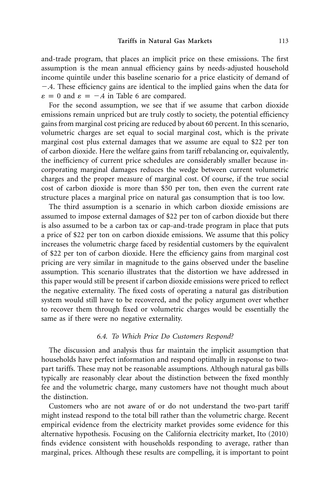and-trade program, that places an implicit price on these emissions. The first assumption is the mean annual efficiency gains by needs-adjusted household income quintile under this baseline scenario for a price elasticity of demand of  $-4$ . These efficiency gains are identical to the implied gains when the data for  $\varepsilon = 0$  and  $\varepsilon = -0.4$  in Table 6 are compared.

For the second assumption, we see that if we assume that carbon dioxide emissions remain unpriced but are truly costly to society, the potential efficiency gains from marginal cost pricing are reduced by about 60 percent. In this scenario, volumetric charges are set equal to social marginal cost, which is the private marginal cost plus external damages that we assume are equal to \$22 per ton of carbon dioxide. Here the welfare gains from tariff rebalancing or, equivalently, the inefficiency of current price schedules are considerably smaller because incorporating marginal damages reduces the wedge between current volumetric charges and the proper measure of marginal cost. Of course, if the true social cost of carbon dioxide is more than \$50 per ton, then even the current rate structure places a marginal price on natural gas consumption that is too low.

The third assumption is a scenario in which carbon dioxide emissions are assumed to impose external damages of \$22 per ton of carbon dioxide but there is also assumed to be a carbon tax or cap-and-trade program in place that puts a price of \$22 per ton on carbon dioxide emissions. We assume that this policy increases the volumetric charge faced by residential customers by the equivalent of \$22 per ton of carbon dioxide. Here the efficiency gains from marginal cost pricing are very similar in magnitude to the gains observed under the baseline assumption. This scenario illustrates that the distortion we have addressed in this paper would still be present if carbon dioxide emissions were priced to reflect the negative externality. The fixed costs of operating a natural gas distribution system would still have to be recovered, and the policy argument over whether to recover them through fixed or volumetric charges would be essentially the same as if there were no negative externality.

# *6.4. To Which Price Do Customers Respond?*

The discussion and analysis thus far maintain the implicit assumption that households have perfect information and respond optimally in response to twopart tariffs. These may not be reasonable assumptions. Although natural gas bills typically are reasonably clear about the distinction between the fixed monthly fee and the volumetric charge, many customers have not thought much about the distinction.

Customers who are not aware of or do not understand the two-part tariff might instead respond to the total bill rather than the volumetric charge. Recent empirical evidence from the electricity market provides some evidence for this alternative hypothesis. Focusing on the California electricity market, Ito (2010) finds evidence consistent with households responding to average, rather than marginal, prices. Although these results are compelling, it is important to point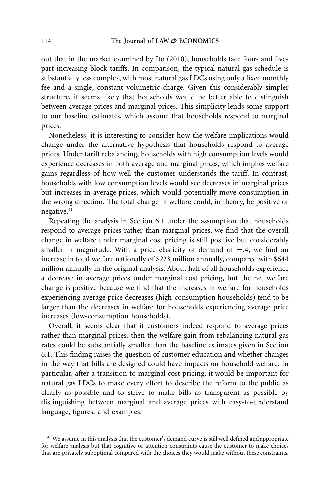out that in the market examined by Ito (2010), households face four- and fivepart increasing block tariffs. In comparison, the typical natural gas schedule is substantially less complex, with most natural gas LDCs using only a fixed monthly fee and a single, constant volumetric charge. Given this considerably simpler structure, it seems likely that households would be better able to distinguish between average prices and marginal prices. This simplicity lends some support to our baseline estimates, which assume that households respond to marginal prices.

Nonetheless, it is interesting to consider how the welfare implications would change under the alternative hypothesis that households respond to average prices. Under tariff rebalancing, households with high consumption levels would experience decreases in both average and marginal prices, which implies welfare gains regardless of how well the customer understands the tariff. In contrast, households with low consumption levels would see decreases in marginal prices but increases in average prices, which would potentially move consumption in the wrong direction. The total change in welfare could, in theory, be positive or negative.<sup>41</sup>

Repeating the analysis in Section 6.1 under the assumption that households respond to average prices rather than marginal prices, we find that the overall change in welfare under marginal cost pricing is still positive but considerably smaller in magnitude. With a price elasticity of demand of  $-.4$ , we find an increase in total welfare nationally of \$223 million annually, compared with \$644 million annually in the original analysis. About half of all households experience a decrease in average prices under marginal cost pricing, but the net welfare change is positive because we find that the increases in welfare for households experiencing average price decreases (high-consumption households) tend to be larger than the decreases in welfare for households experiencing average price increases (low-consumption households).

Overall, it seems clear that if customers indeed respond to average prices rather than marginal prices, then the welfare gain from rebalancing natural gas rates could be substantially smaller than the baseline estimates given in Section 6.1. This finding raises the question of customer education and whether changes in the way that bills are designed could have impacts on household welfare. In particular, after a transition to marginal cost pricing, it would be important for natural gas LDCs to make every effort to describe the reform to the public as clearly as possible and to strive to make bills as transparent as possible by distinguishing between marginal and average prices with easy-to-understand language, figures, and examples.

<sup>&</sup>lt;sup>41</sup> We assume in this analysis that the customer's demand curve is still well defined and appropriate for welfare analysis but that cognitive or attention constraints cause the customer to make choices that are privately suboptimal compared with the choices they would make without these constraints.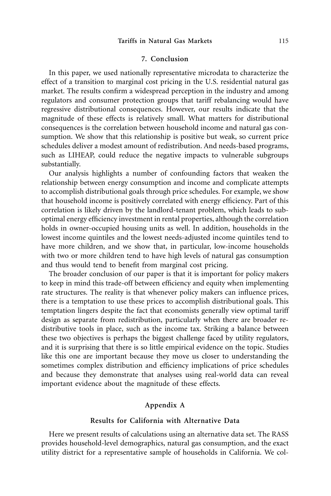# **7. Conclusion**

In this paper, we used nationally representative microdata to characterize the effect of a transition to marginal cost pricing in the U.S. residential natural gas market. The results confirm a widespread perception in the industry and among regulators and consumer protection groups that tariff rebalancing would have regressive distributional consequences. However, our results indicate that the magnitude of these effects is relatively small. What matters for distributional consequences is the correlation between household income and natural gas consumption. We show that this relationship is positive but weak, so current price schedules deliver a modest amount of redistribution. And needs-based programs, such as LIHEAP, could reduce the negative impacts to vulnerable subgroups substantially.

Our analysis highlights a number of confounding factors that weaken the relationship between energy consumption and income and complicate attempts to accomplish distributional goals through price schedules. For example, we show that household income is positively correlated with energy efficiency. Part of this correlation is likely driven by the landlord-tenant problem, which leads to suboptimal energy efficiency investment in rental properties, although the correlation holds in owner-occupied housing units as well. In addition, households in the lowest income quintiles and the lowest needs-adjusted income quintiles tend to have more children, and we show that, in particular, low-income households with two or more children tend to have high levels of natural gas consumption and thus would tend to benefit from marginal cost pricing.

The broader conclusion of our paper is that it is important for policy makers to keep in mind this trade-off between efficiency and equity when implementing rate structures. The reality is that whenever policy makers can influence prices, there is a temptation to use these prices to accomplish distributional goals. This temptation lingers despite the fact that economists generally view optimal tariff design as separate from redistribution, particularly when there are broader redistributive tools in place, such as the income tax. Striking a balance between these two objectives is perhaps the biggest challenge faced by utility regulators, and it is surprising that there is so little empirical evidence on the topic. Studies like this one are important because they move us closer to understanding the sometimes complex distribution and efficiency implications of price schedules and because they demonstrate that analyses using real-world data can reveal important evidence about the magnitude of these effects.

# **Appendix A**

## **Results for California with Alternative Data**

Here we present results of calculations using an alternative data set. The RASS provides household-level demographics, natural gas consumption, and the exact utility district for a representative sample of households in California. We col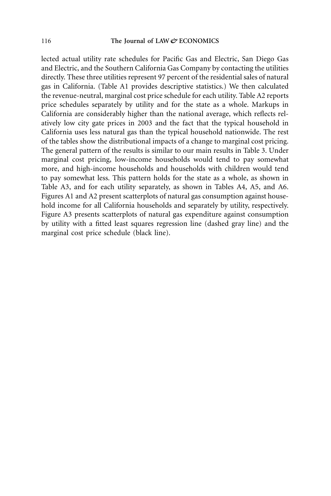lected actual utility rate schedules for Pacific Gas and Electric, San Diego Gas and Electric, and the Southern California Gas Company by contacting the utilities directly. These three utilities represent 97 percent of the residential sales of natural gas in California. (Table A1 provides descriptive statistics.) We then calculated the revenue-neutral, marginal cost price schedule for each utility. Table A2 reports price schedules separately by utility and for the state as a whole. Markups in California are considerably higher than the national average, which reflects relatively low city gate prices in 2003 and the fact that the typical household in California uses less natural gas than the typical household nationwide. The rest of the tables show the distributional impacts of a change to marginal cost pricing. The general pattern of the results is similar to our main results in Table 3. Under marginal cost pricing, low-income households would tend to pay somewhat more, and high-income households and households with children would tend to pay somewhat less. This pattern holds for the state as a whole, as shown in Table A3, and for each utility separately, as shown in Tables A4, A5, and A6. Figures A1 and A2 present scatterplots of natural gas consumption against household income for all California households and separately by utility, respectively. Figure A3 presents scatterplots of natural gas expenditure against consumption by utility with a fitted least squares regression line (dashed gray line) and the marginal cost price schedule (black line).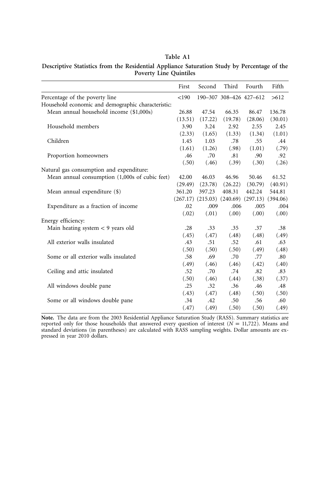# **Table A1**

#### **Descriptive Statistics from the Residential Appliance Saturation Study by Percentage of the Poverty Line Quintiles**

|                                                    | First   | Second                           | Third                   | Fourth   | Fifth    |
|----------------------------------------------------|---------|----------------------------------|-------------------------|----------|----------|
| Percentage of the poverty line                     | < 190   |                                  | 190-307 308-426 427-612 |          | >612     |
| Household economic and demographic characteristic: |         |                                  |                         |          |          |
| Mean annual household income (\$1,000s)            | 26.88   | 47.54                            | 66.35                   | 86.47    | 136.78   |
|                                                    | (13.51) | (17.22)                          | (19.78)                 | (28.06)  | (30.01)  |
| Household members                                  | 3.90    | 3.24                             | 2.92                    | 2.55     | 2.45     |
|                                                    | (2.33)  | (1.65)                           | (1.33)                  | (1.34)   | (1.01)   |
| Children                                           | 1.45    | 1.03                             | .78                     | .55      | .44      |
|                                                    | (1.61)  | (1.26)                           | (.98)                   | (1.01)   | (.79)    |
| Proportion homeowners                              | .46     | .70                              | .81                     | .90      | .92      |
|                                                    | (.50)   | (.46)                            | (.39)                   | (.30)    | (.26)    |
| Natural gas consumption and expenditure:           |         |                                  |                         |          |          |
| Mean annual consumption (1,000s of cubic feet)     | 42.00   | 46.03                            | 46.96                   | 50.46    | 61.52    |
|                                                    | (29.49) | (23.78)                          | (26.22)                 | (30.79)  | (40.91)  |
| Mean annual expenditure (\$)                       | 361.20  | 397.23                           | 408.31                  | 442.24   | 544.81   |
|                                                    |         | $(267.17)$ $(215.03)$ $(240.69)$ |                         | (297.13) | (394.06) |
| Expenditure as a fraction of income                | .02     | .009                             | .006                    | .005     | .004     |
|                                                    | (.02)   | (.01)                            | (0.00)                  | (0.00)   | (0.00)   |
| Energy efficiency:                                 |         |                                  |                         |          |          |
| Main heating system $<$ 9 years old                | .28     | .33                              | .35                     | .37      | .38      |
|                                                    | (.45)   | (.47)                            | (.48)                   | (.48)    | (.49)    |
| All exterior walls insulated                       | .43     | .51                              | .52                     | .61      | .63      |
|                                                    | (.50)   | (.50)                            | (.50)                   | (.49)    | (.48)    |
| Some or all exterior walls insulated               | .58     | .69                              | .70                     | .77      | .80      |
|                                                    | (.49)   | (.46)                            | (.46)                   | (.42)    | (.40)    |
| Ceiling and attic insulated                        | .52     | .70                              | .74                     | .82      | .83      |
|                                                    | (.50)   | (.46)                            | (.44)                   | (.38)    | (.37)    |
| All windows double pane                            | .25     | .32                              | .36                     | .46      | .48      |
|                                                    | (.43)   | (.47)                            | (.48)                   | (.50)    | (.50)    |
| Some or all windows double pane                    | .34     | .42                              | .50                     | .56      | .60      |
|                                                    | (.47)   | (.49)                            | (.50)                   | (.50)    | (.49)    |

**Note.** The data are from the 2003 Residential Appliance Saturation Study (RASS). Summary statistics are reported only for those households that answered every question of interest ( $N = 11{,}722$ ). Means and standard deviations (in parentheses) are calculated with RASS sampling weights. Dollar amounts are expressed in year 2010 dollars.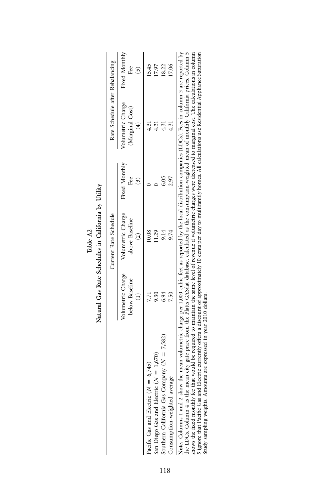|                                                                                                                                                                                                                                                                                                                                           |                                     | Natural Gas Rate Schedules in California by Utility |                      |                                      |                            |
|-------------------------------------------------------------------------------------------------------------------------------------------------------------------------------------------------------------------------------------------------------------------------------------------------------------------------------------------|-------------------------------------|-----------------------------------------------------|----------------------|--------------------------------------|----------------------------|
|                                                                                                                                                                                                                                                                                                                                           |                                     | Current Rate Schedule                               |                      | Rate Schedule after Rebalancing      |                            |
|                                                                                                                                                                                                                                                                                                                                           | Volumetric Charge<br>below Baseline | Volumetric Charge<br>above Baseline                 | Fixed Monthly<br>Fee | Volumetric Charge<br>(Marginal Cost) | Fixed Monthly<br>Fee<br>ົດ |
| Pacific Gas and Electric ( $N = 6,745$ )                                                                                                                                                                                                                                                                                                  |                                     | 10.08                                               |                      | 4.31                                 | 15.45                      |
| San Diego Gas and Electric ( $N = 1,670$ )                                                                                                                                                                                                                                                                                                | 9.30                                | 11.29                                               |                      | 4.31                                 | 17.97                      |
| Southern California Gas Company ( $N = 7,582$ )                                                                                                                                                                                                                                                                                           | 6.94                                | 9.14                                                | 6.05                 | 4.31                                 | 18.22                      |
| Consumption-weighted average                                                                                                                                                                                                                                                                                                              |                                     | 9.74                                                | 2.97                 | 4.31                                 | 17.06                      |
| Note. Columns 1 and 2 show the mean volumetric charge per 1,000 cubic feet as reported by the local distribution companies (LDCs). Fees in column 3 are reported by<br>the LDCs. Column 4 is the mean city gate price from the Platts GASdat database, calculated as the consumption-weighted mean of monthly California prices. Column 5 |                                     |                                                     |                      |                                      |                            |

|       | Ë             |
|-------|---------------|
|       | $\frac{1}{2}$ |
| 2     | California    |
| Table | .<br>⊞        |
|       | Schedules     |
|       | Rate          |
|       | ıral Gas      |
|       |               |

shows the Rock monthly fee that any gate price un ute ratio to some level of cancel as the consumptour-wegineed mean or monthly clusters. Counting the state and Blectric currently offers a discount of approximately 10 cent the LDCs. Column 4 is the mean city gate price from the Platts GASdat database, calculated as the consumption-weighted mean of monthly California prices. Column 5 shows the fixed monthly fee that would be required to maintain the same level of revenue if volumetric charges were decreased to marginal cost. The calculations in column 5 ignore that Pacific Gas and Electric currently offers a discount of approximately 10 cents per day to multifamily homes. All calculations use Residential Appliance Saturation Study sampling weights. Amounts are expressed in year 2010 dollars.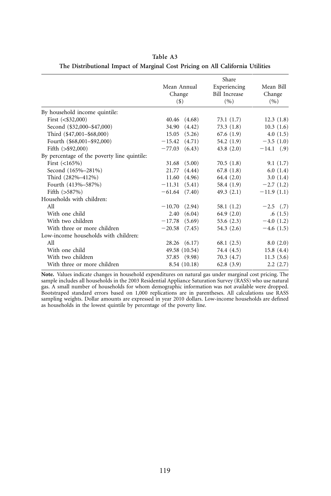|                                             | Share              |                      |              |  |
|---------------------------------------------|--------------------|----------------------|--------------|--|
|                                             | Mean Annual        | Experiencing         | Mean Bill    |  |
|                                             | Change             | <b>Bill Increase</b> | Change       |  |
|                                             | $($ \$)            | (9/6)                | (9)          |  |
| By household income quintile:               |                    |                      |              |  |
| First $( $32,000)$                          | 40.46 (4.68)       | 73.1(1.7)            | 12.3(1.8)    |  |
| Second (\$32,000-\$47,000)                  | 34.90<br>(4.42)    | 73.3(1.8)            | 10.3(1.6)    |  |
| Third (\$47,001-\$68,000)                   | (5.26)<br>15.05    | 67.6(1.9)            | 4.0(1.5)     |  |
| Fourth (\$68,001-\$92,000)                  | $-15.42$<br>(4.71) | 54.2(1.9)            | $-3.5(1.0)$  |  |
| Fifth $(>\,$ \$92,000)                      | (6.43)<br>$-77.03$ | 43.8(2.0)            | $-14.1$ (.9) |  |
| By percentage of the poverty line quintile: |                    |                      |              |  |
| First $(<165\%)$                            | (5.00)<br>31.68    | 70.5(1.8)            | 9.1(1.7)     |  |
| Second (165%-281%)                          | 21.77<br>(4.44)    | 67.8(1.8)            | 6.0(1.4)     |  |
| Third (282%-412%)                           | 11.60<br>(4.96)    | 64.4 $(2.0)$         | 3.0(1.4)     |  |
| Fourth (413%-587%)                          | (5.41)<br>$-11.31$ | 58.4 (1.9)           | $-2.7(1.2)$  |  |
| Fifth $(>587%)$                             | $-61.64$ $(7.40)$  | 49.3(2.1)            | $-11.9(1.1)$ |  |
| Households with children:                   |                    |                      |              |  |
| All                                         | $-10.70$<br>(2.94) | 58.1 (1.2)           | $-2.5$ (.7)  |  |
| With one child                              | (6.04)<br>2.40     | 64.9 $(2.0)$         | .6(1.5)      |  |
| With two children                           | $-17.78$<br>(5.69) | 53.6 $(2.3)$         | $-4.0(1.2)$  |  |
| With three or more children                 | $-20.58$ (7.45)    | 54.3 $(2.6)$         | $-4.6(1.5)$  |  |
| Low-income households with children:        |                    |                      |              |  |
| All                                         | $28.26$ $(6.17)$   | 68.1(2.5)            | 8.0(2.0)     |  |
| With one child                              | 49.58 (10.54)      | 74.4 (4.5)           | 15.8(4.4)    |  |
| With two children                           | 37.85 (9.98)       | 70.3(4.7)            | 11.3(3.6)    |  |
| With three or more children                 | 8.54 (10.18)       | 62.8(3.9)            | 2.2(2.7)     |  |

**Table A3 The Distributional Impact of Marginal Cost Pricing on All California Utilities**

**Note.** Values indicate changes in household expenditures on natural gas under marginal cost pricing. The sample includes all households in the 2003 Residential Appliance Saturation Survey (RASS) who use natural gas. A small number of households for whom demographic information was not available were dropped. Bootstraped standard errors based on 1,000 replications are in parentheses. All calculations use RASS sampling weights. Dollar amounts are expressed in year 2010 dollars. Low-income households are defined as households in the lowest quintile by percentage of the poverty line.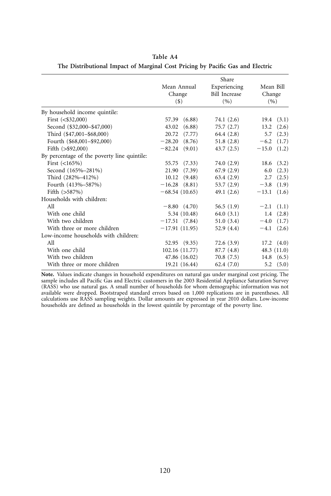|                                             |                    | Share                |                    |
|---------------------------------------------|--------------------|----------------------|--------------------|
|                                             | Mean Annual        | Experiencing         | Mean Bill          |
|                                             | Change             | <b>Bill Increase</b> | Change             |
|                                             | $($)$              | (9/0)                | (9/6)              |
| By household income quintile:               |                    |                      |                    |
| First $( $32,000)$                          | (6.88)<br>57.39    | 74.1 (2.6)           | $19.4$ $(3.1)$     |
| Second (\$32,000-\$47,000)                  | (6.88)<br>43.02    | 75.7(2.7)            | (2.6)<br>13.2      |
| Third (\$47,001-\$68,000)                   | 20.72<br>(7.77)    | 64.4 (2.8)           | (2.3)<br>5.7       |
| Fourth (\$68,001-\$92,000)                  | $-28.20$<br>(8.76) | 51.8(2.8)            | $-6.2$<br>(1.7)    |
| Fifth $(>\,$ \$92,000)                      | $-82.24$<br>(9.01) | 43.7(2.5)            | $-15.0$<br>(1.2)   |
| By percentage of the poverty line quintile: |                    |                      |                    |
| First $(<165\%)$                            | (7.33)<br>55.75    | 74.0 (2.9)           | (3.2)<br>18.6      |
| Second (165%-281%)                          | 21.90<br>(7.39)    | 67.9(2.9)            | 6.0<br>(2.3)       |
| Third (282%-412%)                           | (9.48)<br>10.12    | 63.4(2.9)            | (2.5)<br>2.7       |
| Fourth (413%-587%)                          | $-16.28$ (8.81)    | 53.7(2.9)            | $-3.8$<br>(1.9)    |
| Fifth $(>587%)$                             | $-68.54(10.65)$    | 49.1 $(2.6)$         | $-13.1$<br>(1.6)   |
| Households with children:                   |                    |                      |                    |
| All                                         | $-8.80(4.70)$      | 56.5(1.9)            | (1.1)<br>$-2.1$    |
| With one child                              | 5.34 (10.48)       | 64.0 $(3.1)$         | (2.8)<br>1.4       |
| With two children                           | $-17.51(7.84)$     | 51.0(3.4)            | (1.7)<br>$-4.0$    |
| With three or more children                 | $-17.91(11.95)$    | 52.9(4.4)            | (2.6)<br>$-4.1$    |
| Low-income households with children:        |                    |                      |                    |
| All                                         | $52.95$ $(9.35)$   | 72.6(3.9)            | $17.2 \quad (4.0)$ |
| With one child                              | 102.16 (11.77)     | 87.7 (4.8)           | 48.3 $(11.0)$      |
| With two children                           | 47.86 (16.02)      | 70.8(7.5)            | 14.8 $(6.5)$       |
| With three or more children                 | 19.21 (16.44)      | 62.4(7.0)            | (5.0)<br>5.2       |

**Table A4 The Distributional Impact of Marginal Cost Pricing by Pacific Gas and Electric**

**Note.** Values indicate changes in household expenditures on natural gas under marginal cost pricing. The sample includes all Pacific Gas and Electric customers in the 2003 Residential Appliance Saturation Survey (RASS) who use natural gas. A small number of households for whom demographic information was not available were dropped. Bootstraped standard errors based on 1,000 replications are in parentheses. All calculations use RASS sampling weights. Dollar amounts are expressed in year 2010 dollars. Low-income households are defined as households in the lowest quintile by percentage of the poverty line.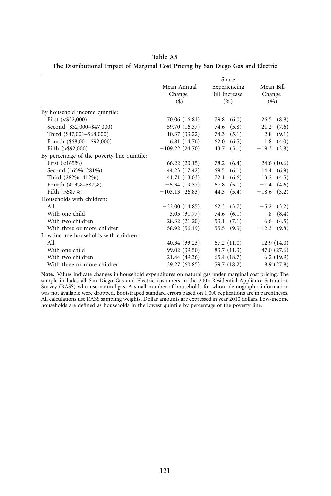|                                             |                  | Share                |                    |
|---------------------------------------------|------------------|----------------------|--------------------|
|                                             | Mean Annual      | Experiencing         | Mean Bill          |
|                                             | Change           | <b>Bill Increase</b> | Change             |
|                                             | $($ \$)          | (9/6)                | (9/6)              |
| By household income quintile:               |                  |                      |                    |
| First $( $32,000)$                          | 70.06 (16.81)    | 79.8 (6.0)           | (8.8)<br>26.5      |
| Second (\$32,000-\$47,000)                  | 59.70 (16.37)    | 74.6<br>(5.8)        | 21.2<br>(7.6)      |
| Third (\$47,001-\$68,000)                   | 10.37(33.22)     | $74.3$ $(5.1)$       | (9.1)<br>2.8       |
| Fourth (\$68,001-\$92,000)                  | 6.81 (14.76)     | 62.0<br>(6.5)        | (4.0)<br>1.8       |
| Fifth $(>\,$ \$92,000)                      | $-109.22(24.70)$ | (5.1)<br>43.7        | (2.8)<br>$-19.3$   |
| By percentage of the poverty line quintile: |                  |                      |                    |
| First $(<165\%)$                            | 66.22(20.15)     | 78.2 (6.4)           | 24.6 (10.6)        |
| Second (165%-281%)                          | 44.23 (17.42)    | (6.1)<br>69.5        | 14.4 $(6.9)$       |
| Third (282%-412%)                           | 41.71 (13.03)    | 72.1<br>(6.6)        | $13.2 \quad (4.5)$ |
| Fourth (413%-587%)                          | $-5.34(19.37)$   | (5.1)<br>67.8        | $-1.4(4.6)$        |
| Fifth $(>587%)$                             | $-103.13(26.83)$ | 44.3 (5.4)           | $-18.6$ (3.2)      |
| Households with children:                   |                  |                      |                    |
| All                                         | $-22.00(14.85)$  | $62.3$ $(3.7)$       | (3.2)<br>$-5.2$    |
| With one child                              | 3.05(31.77)      | $74.6$ $(6.1)$       | (8.4)<br>$.8\,$    |
| With two children                           | $-28.32(21.20)$  | 53.1<br>(7.1)        | (4.5)<br>$-6.6$    |
| With three or more children                 | $-58.92(56.19)$  | 55.5 $(9.3)$         | $-12.3$ (9.8)      |
| Low-income households with children:        |                  |                      |                    |
| All                                         | 40.34(33.23)     | 67.2(11.0)           | 12.9(14.0)         |
| With one child                              | 99.02 (39.50)    | 83.7 (11.3)          | 47.0 (27.6)        |
| With two children                           | 21.44 (49.36)    | 65.4 (18.7)          | 6.2(19.9)          |
| With three or more children                 | 29.27 (60.85)    | 59.7 (18.2)          | 8.9(27.8)          |

**Table A5 The Distributional Impact of Marginal Cost Pricing by San Diego Gas and Electric**

**Note.** Values indicate changes in household expenditures on natural gas under marginal cost pricing. The sample includes all San Diego Gas and Electric customers in the 2003 Residential Appliance Saturation Survey (RASS) who use natural gas. A small number of households for whom demographic information was not available were dropped. Bootstraped standard errors based on 1,000 replications are in parentheses. All calculations use RASS sampling weights. Dollar amounts are expressed in year 2010 dollars. Low-income households are defined as households in the lowest quintile by percentage of the poverty line.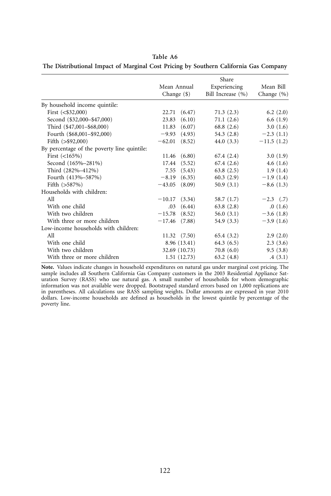|                                             |                      | Share             |                |
|---------------------------------------------|----------------------|-------------------|----------------|
|                                             | Mean Annual          | Experiencing      | Mean Bill      |
|                                             | Change $(\$)$        | Bill Increase (%) | Change $(\% )$ |
| By household income quintile:               |                      |                   |                |
| First $( $32,000)$                          | 22.71 (6.47)         | 71.3(2.3)         | 6.2(2.0)       |
| Second (\$32,000-\$47,000)                  | 23.83<br>(6.10)      | 71.1(2.6)         | 6.6(1.9)       |
| Third (\$47,001-\$68,000)                   | (6.07)<br>11.83      | 68.8(2.6)         | 3.0(1.6)       |
| Fourth (\$68,001-\$92,000)                  | $-9.93$<br>(4.93)    | 54.3(2.8)         | $-2.3(1.1)$    |
| Fifth $(>\,$ \$92,000)                      | $-62.01$<br>(8.52)   | 44.0 $(3.3)$      | $-11.5(1.2)$   |
| By percentage of the poverty line quintile: |                      |                   |                |
| First $(<165\%)$                            | 11.46(6.80)          | 67.4(2.4)         | 3.0(1.9)       |
| Second (165%-281%)                          | 17.44<br>(5.52)      | 67.4(2.6)         | 4.6(1.6)       |
| Third (282%-412%)                           | 7.55<br>(5.43)       | 63.8(2.5)         | 1.9(1.4)       |
| Fourth (413%-587%)                          | $-8.19$<br>(6.35)    | 60.3(2.9)         | $-1.9(1.4)$    |
| Fifth $(>587%)$                             | $-43.05$<br>(8.09)   | 50.9(3.1)         | $-8.6(1.3)$    |
| Households with children:                   |                      |                   |                |
| All                                         | (3.34)<br>$-10.17$   | 58.7 (1.7)        | $-2.3$ (.7)    |
| With one child                              | .03<br>(6.44)        | 63.8(2.8)         | .0(1.6)        |
| With two children                           | $-15.78$<br>(8.52)   | 56.0(3.1)         | $-3.6(1.8)$    |
| With three or more children                 | $-17.46$ (7.88)      | 54.9(3.3)         | $-3.9(1.6)$    |
| Low-income households with children:        |                      |                   |                |
| All                                         | $11.32 \quad (7.50)$ | 65.4(3.2)         | 2.9(2.0)       |
| With one child                              | 8.96(13.41)          | 64.3(6.5)         | 2.3(3.6)       |
| With two children                           | 32.69 (10.73)        | 70.8(6.0)         | 9.5(3.8)       |
| With three or more children                 | 1.51(12.73)          | 63.2(4.8)         | .4(3.1)        |

**Table A6 The Distributional Impact of Marginal Cost Pricing by Southern California Gas Company**

**Note.** Values indicate changes in household expenditures on natural gas under marginal cost pricing. The sample includes all Southern California Gas Company customers in the 2003 Residential Appliance Saturation Survey (RASS) who use natural gas. A small number of households for whom demographic information was not available were dropped. Bootstraped standard errors based on 1,000 replications are in parentheses. All calculations use RASS sampling weights. Dollar amounts are expressed in year 2010 dollars. Low-income households are defined as households in the lowest quintile by percentage of the poverty line.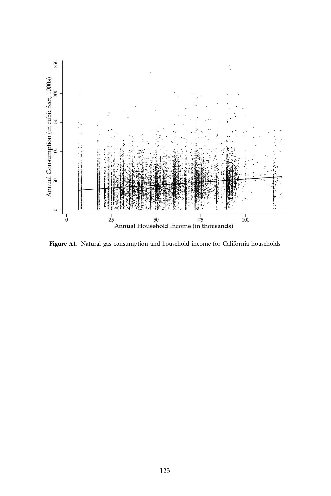

Figure A1. Natural gas consumption and household income for California households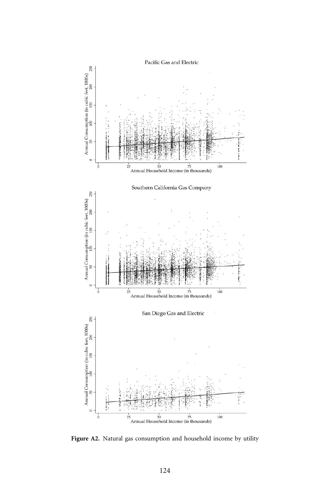

Figure A2. Natural gas consumption and household income by utility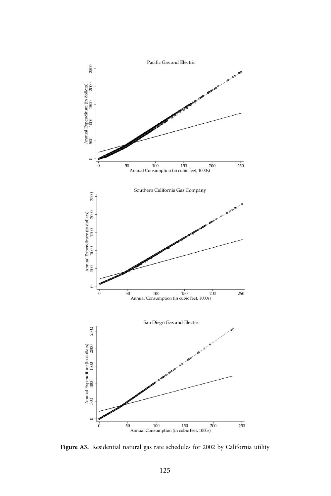

Figure A3. Residential natural gas rate schedules for 2002 by California utility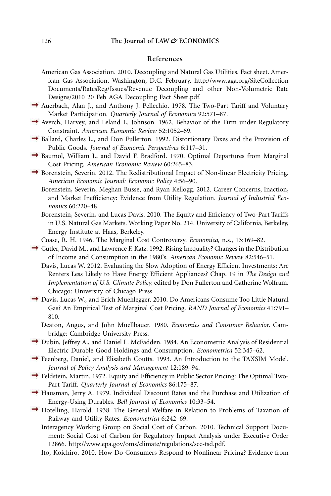# **References**

- American Gas Association. 2010. Decoupling and Natural Gas Utilities. Fact sheet. American Gas Association, Washington, D.C. February. [http://www.aga.org/SiteCollection](http://www.aga.org/SiteCollectionDocuments/RatesReg/Issues/Revenue%20Decoupling%20and%20other%20Non-Volumetric%20Rate%20Designs/2010%2020%20Feb%20AGA%20Decoupling%20Fact%20Sheet.pdf) [Documents/RatesReg/Issues/Revenue Decoupling and other Non-Volumetric Rate](http://www.aga.org/SiteCollectionDocuments/RatesReg/Issues/Revenue%20Decoupling%20and%20other%20Non-Volumetric%20Rate%20Designs/2010%2020%20Feb%20AGA%20Decoupling%20Fact%20Sheet.pdf) [Designs/2010 20 Feb AGA Decoupling Fact Sheet.pdf.](http://www.aga.org/SiteCollectionDocuments/RatesReg/Issues/Revenue%20Decoupling%20and%20other%20Non-Volumetric%20Rate%20Designs/2010%2020%20Feb%20AGA%20Decoupling%20Fact%20Sheet.pdf)
- Auerbach, Alan J., and Anthony J. Pellechio. 1978. The Two-Part Tariff and Voluntary Market Participation. *Quarterly Journal of Economics* 92:571–87.
- Averch, Harvey, and Leland L. Johnson. 1962. Behavior of the Firm under Regulatory Constraint. *American Economic Review* 52:1052–69.
- Ballard, Charles L., and Don Fullerton. 1992. Distortionary Taxes and the Provision of Public Goods. *Journal of Economic Perspectives* 6:117–31.
- Baumol, William J., and David F. Bradford. 1970. Optimal Departures from Marginal Cost Pricing. *American Economic Review* 60:265–83.
- $\rightarrow$  Borenstein, Severin. 2012. The Redistributional Impact of Non-linear Electricity Pricing. *American Economic Journal: Economic Policy* 4:56–90.
	- Borenstein, Severin, Meghan Busse, and Ryan Kellogg. 2012. Career Concerns, Inaction, and Market Inefficiency: Evidence from Utility Regulation. *Journal of Industrial Economics* 60:220–48.
	- Borenstein, Severin, and Lucas Davis. 2010. The Equity and Efficiency of Two-Part Tariffs in U.S. Natural Gas Markets. Working Paper No. 214. University of California, Berkeley, Energy Institute at Haas, Berkeley.
	- Coase, R. H. 1946. The Marginal Cost Controversy. *Economica,* n.s., 13:169–82.
- Cutler, David M., and Lawrence F. Katz. 1992. Rising Inequality? Changes in the Distribution of Income and Consumption in the 1980's. *American Economic Review* 82:546–51.
	- Davis, Lucas W. 2012. Evaluating the Slow Adoption of Energy Efficient Investments: Are Renters Less Likely to Have Energy Efficient Appliances? Chap. 19 in *The Design and Implementation of U.S. Climate Policy,* edited by Don Fullerton and Catherine Wolfram. Chicago: University of Chicago Press.
- Davis, Lucas W., and Erich Muehlegger. 2010. Do Americans Consume Too Little Natural Gas? An Empirical Test of Marginal Cost Pricing. *RAND Journal of Economics* 41:791– 810.
	- Deaton, Angus, and John Muellbauer. 1980. *Economics and Consumer Behavior.* Cambridge: Cambridge University Press.
- Dubin, Jeffrey A., and Daniel L. McFadden. 1984. An Econometric Analysis of Residential Electric Durable Good Holdings and Consumption. *Econometrica* 52:345–62.
- Feenberg, Daniel, and Elisabeth Coutts. 1993. An Introduction to the TAXSIM Model. *Journal of Policy Analysis and Management* 12:189–94.
- Feldstein, Martin. 1972. Equity and Efficiency in Public Sector Pricing: The Optimal Two-Part Tariff. *Quarterly Journal of Economics* 86:175–87.
- Hausman, Jerry A. 1979. Individual Discount Rates and the Purchase and Utilization of Energy-Using Durables. *Bell Journal of Economics* 10:33–54.
- $\rightarrow$  Hotelling, Harold. 1938. The General Welfare in Relation to Problems of Taxation of Railway and Utility Rates. *Econometrica* 6:242–69.
	- Interagency Working Group on Social Cost of Carbon. 2010. Technical Support Document: Social Cost of Carbon for Regulatory Impact Analysis under Executive Order 12866. [http://www.epa.gov/oms/climate/regulations/scc-tsd.pdf.](http://www.epa.gov/oms/climate/regulations/scc-tsd.pdf)
	- Ito, Koichiro. 2010. How Do Consumers Respond to Nonlinear Pricing? Evidence from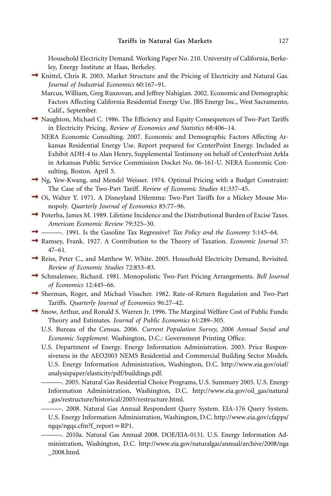Household Electricity Demand. Working Paper No. 210. University of California, Berkeley, Energy Institute at Haas, Berkeley.

- $\rightarrow$  Knittel, Chris R. 2003. Market Structure and the Pricing of Electricity and Natural Gas. *Journal of Industrial Economics* 60:167–91.
	- Marcus, William, Greg Ruszovan, and Jeffrey Nahigian. 2002. Economic and Demographic Factors Affecting California Residential Energy Use. JBS Energy Inc., West Sacramento, Calif., September.
- Naughton, Michael C. 1986. The Efficiency and Equity Consequences of Two-Part Tariffs in Electricity Pricing. *Review of Economics and Statistics* 68:406–14.
	- NERA Economic Consulting. 2007. Economic and Demographic Factors Affecting Arkansas Residential Energy Use. Report prepared for CenterPoint Energy. Included as Exhibit ADH-4 to Alan Henry, Supplemental Testimony on behalf of CenterPoint Arkla in Arkansas Public Service Commission Docket No. 06-161-U. NERA Economic Consulting, Boston. April 5.
- $\rightarrow$  Ng, Yew-Kwang, and Mendel Weisser. 1974. Optimal Pricing with a Budget Constraint: The Case of the Two-Part Tariff. *Review of Economic Studies* 41:337–45.
- Oi, Walter Y. 1971. A Disneyland Dilemma: Two-Part Tariffs for a Mickey Mouse Monopoly. *Quarterly Journal of Economics* 85:77–96.
- Poterba, James M. 1989. Lifetime Incidence and the Distributional Burden of Excise Taxes. *American Economic Review* 79:325–30.
- ———. 1991. Is the Gasoline Tax Regressive? *Tax Policy and the Economy* 5:145–64.
- Ramsey, Frank. 1927. A Contribution to the Theory of Taxation. *Economic Journal* 37: 47–61.
- Reiss, Peter C., and Matthew W. White. 2005. Household Electricity Demand, Revisited. *Review of Economic Studies* 72:853–83.
- Schmalensee, Richard. 1981. Monopolistic Two-Part Pricing Arrangements. *Bell Journal of Economics* 12:445–66.
- Sherman, Roger, and Michael Visscher. 1982. Rate-of-Return Regulation and Two-Part Tariffs. *Quarterly Journal of Economics* 96:27–42.
- $\rightarrow$  Snow, Arthur, and Ronald S. Warren Jr. 1996. The Marginal Welfare Cost of Public Funds: Theory and Estimates. *Journal of Public Economics* 61:289–305.
	- U.S. Bureau of the Census. 2006. *Current Population Survey, 2006 Annual Social and Economic Supplement.* Washington, D.C.: Government Printing Office.
	- U.S. Department of Energy. Energy Information Administration. 2003. Price Responsiveness in the AEO2003 NEMS Residential and Commercial Building Sector Models. U.S. Energy Information Administration, Washington, D.C. [http://www.eia.gov/oiaf/](http://www.eia.gov/oiaf/analysispaper/elasticity/pdf/buildings.pdf) [analysispaper/elasticity/pdf/buildings.pdf.](http://www.eia.gov/oiaf/analysispaper/elasticity/pdf/buildings.pdf)

———. 2005. Natural Gas Residential Choice Programs, U.S. Summary 2005. U.S. Energy Information Administration, Washington, D.C. [http://www.eia.gov/oil\\_gas/natural](http://www.eia.gov/oil_gas/natural_gas/restructure/historical/2005/restructure.html) [\\_gas/restructure/historical/2005/restructure.html.](http://www.eia.gov/oil_gas/natural_gas/restructure/historical/2005/restructure.html)

———. 2008. Natural Gas Annual Respondent Query System. EIA-176 Query System. U.S. Energy Information Administration, Washington, D.C[. http://www.eia.gov/cfapps/](http://www.eia.gov/cfapps/ngqs/ngqs.cfm?f_report=RP1) [ngqs/ngqs.cfm?f\\_report](http://www.eia.gov/cfapps/ngqs/ngqs.cfm?f_report=RP1)=RP1.

———. 2010a. Natural Gas Annual 2008. DOE/EIA-0131. U.S. Energy Information Administration, Washington, D.C. [http://www.eia.gov/naturalgas/annual/archive/2008/nga](http://www.eia.gov/naturalgas/annual/archive/2008/nga_2008.html) [\\_2008.html.](http://www.eia.gov/naturalgas/annual/archive/2008/nga_2008.html)